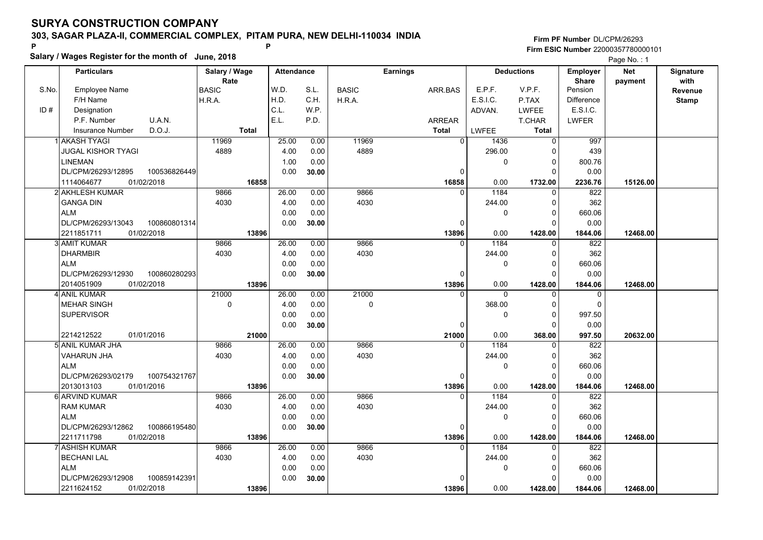**Salary / Wages Register for the month of June, 2018 <sup>P</sup> <sup>P</sup>**

|       | Salary / wages Register for the month of June, 2018 |               |                   |       |              |                 |                      | Page No.: 1       |                   |            |              |
|-------|-----------------------------------------------------|---------------|-------------------|-------|--------------|-----------------|----------------------|-------------------|-------------------|------------|--------------|
|       | <b>Particulars</b>                                  | Salary / Wage | <b>Attendance</b> |       |              | <b>Earnings</b> |                      | <b>Deductions</b> | <b>Employer</b>   | <b>Net</b> | Signature    |
|       |                                                     | Rate          |                   |       |              |                 |                      |                   | <b>Share</b>      | payment    | with         |
| S.No. | <b>Employee Name</b>                                | <b>BASIC</b>  | W.D.              | S.L.  | <b>BASIC</b> | ARR.BAS         | E.P.F.               | V.P.F.            | Pension           |            | Revenue      |
|       | F/H Name                                            | H.R.A.        | H.D.              | C.H.  | H.R.A.       |                 | E.S.I.C.             | P.TAX             | <b>Difference</b> |            | <b>Stamp</b> |
| ID#   | Designation                                         |               | C.L.              | W.P.  |              |                 | ADVAN.               | <b>LWFEE</b>      | E.S.I.C.          |            |              |
|       | U.A.N.<br>P.F. Number                               |               | E.L.              | P.D.  |              | <b>ARREAR</b>   |                      | T.CHAR            | <b>LWFER</b>      |            |              |
|       | D.O.J.<br><b>Insurance Number</b>                   | <b>Total</b>  |                   |       |              | <b>Total</b>    | LWFEE                | <b>Total</b>      |                   |            |              |
|       | 1 AKASH TYAGI                                       | 11969         | 25.00             | 0.00  | 11969        |                 | $\Omega$<br>1436     | $\Omega$          | 997               |            |              |
|       | <b>JUGAL KISHOR TYAGI</b>                           | 4889          | 4.00              | 0.00  | 4889         |                 | 296.00               | $\Omega$          | 439               |            |              |
|       | <b>LINEMAN</b>                                      |               | 1.00              | 0.00  |              |                 | 0                    | 0                 | 800.76            |            |              |
|       | DL/CPM/26293/12895<br>100536826449                  |               | 0.00              | 30.00 |              |                 | 0                    | $\Omega$          | 0.00              |            |              |
|       | 1114064677<br>01/02/2018                            | 16858         |                   |       |              | 16858           | 0.00                 | 1732.00           | 2236.76           | 15126.00   |              |
|       | 2 AKHLESH KUMAR                                     | 9866          | 26.00             | 0.00  | 9866         |                 | 1184<br>$\Omega$     | $\Omega$          | 822               |            |              |
|       | <b>GANGA DIN</b>                                    | 4030          | 4.00              | 0.00  | 4030         |                 | 244.00               | 0                 | 362               |            |              |
|       | <b>ALM</b>                                          |               | 0.00              | 0.00  |              |                 | 0                    | $\Omega$          | 660.06            |            |              |
|       | DL/CPM/26293/13043<br>100860801314                  |               | 0.00              | 30.00 |              |                 | 0                    | 0                 | 0.00              |            |              |
|       | 2211851711<br>01/02/2018                            | 13896         |                   |       |              | 13896           | 0.00                 | 1428.00           | 1844.06           | 12468.00   |              |
|       | 3 AMIT KUMAR                                        | 9866          | 26.00             | 0.00  | 9866         |                 | 1184<br>$\Omega$     | 0                 | 822               |            |              |
|       | <b>DHARMBIR</b>                                     | 4030          | 4.00              | 0.00  | 4030         |                 | 244.00               | 0                 | 362               |            |              |
|       | <b>ALM</b>                                          |               | 0.00              | 0.00  |              |                 | $\mathbf 0$          | $\Omega$          | 660.06            |            |              |
|       | DL/CPM/26293/12930<br>100860280293                  |               | 0.00              | 30.00 |              |                 | $\Omega$             | $\Omega$          | 0.00              |            |              |
|       | 2014051909<br>01/02/2018                            | 13896         |                   |       |              | 13896           | 0.00                 | 1428.00           | 1844.06           | 12468.00   |              |
|       | 4 ANIL KUMAR                                        | 21000         | 26.00             | 0.00  | 21000        |                 | $\Omega$<br>$\Omega$ | $\Omega$          | $\mathbf 0$       |            |              |
|       | <b>MEHAR SINGH</b>                                  | $\mathbf 0$   | 4.00              | 0.00  | 0            |                 | 368.00               | $\Omega$          | $\mathbf 0$       |            |              |
|       | <b>SUPERVISOR</b>                                   |               | 0.00              | 0.00  |              |                 | $\mathbf 0$          | 0                 | 997.50            |            |              |
|       |                                                     |               | 0.00              | 30.00 |              |                 | $\Omega$             | $\Omega$          | 0.00              |            |              |
|       | 2214212522<br>01/01/2016                            | 21000         |                   |       |              | 21000           | 0.00                 | 368.00            | 997.50            | 20632.00   |              |
|       | 5  ANIL KUMAR JHA                                   | 9866          | 26.00             | 0.00  | 9866         |                 | 1184<br>$\Omega$     | 0                 | 822               |            |              |
|       | <b>VAHARUN JHA</b>                                  | 4030          | 4.00              | 0.00  | 4030         |                 | 244.00               | 0                 | 362               |            |              |
|       | <b>ALM</b>                                          |               | 0.00              | 0.00  |              |                 | 0                    | $\Omega$          | 660.06            |            |              |
|       | DL/CPM/26293/02179<br>100754321767                  |               | 0.00              | 30.00 |              |                 | 0                    | 0                 | 0.00              |            |              |
|       | 01/01/2016<br>2013013103                            | 13896         |                   |       |              | 13896           | 0.00                 | 1428.00           | 1844.06           | 12468.00   |              |
|       | 6 ARVIND KUMAR                                      | 9866          | 26.00             | 0.00  | 9866         |                 | 1184<br>$\Omega$     | 0                 | 822               |            |              |
|       | <b>RAM KUMAR</b>                                    | 4030          | 4.00              | 0.00  | 4030         |                 | 244.00               | $\Omega$          | 362               |            |              |
|       | <b>ALM</b>                                          |               | 0.00              | 0.00  |              |                 | $\mathbf 0$          | $\Omega$          | 660.06            |            |              |
|       | DL/CPM/26293/12862<br>100866195480                  |               | 0.00              | 30.00 |              |                 | 0                    | $\Omega$          | 0.00              |            |              |
|       | 2211711798<br>01/02/2018                            | 13896         |                   |       |              | 13896           | 0.00                 | 1428.00           | 1844.06           | 12468.00   |              |
|       | 7 ASHISH KUMAR                                      | 9866          | 26.00             | 0.00  | 9866         |                 | 1184<br>$\Omega$     | $\Omega$          | 822               |            |              |
|       | <b>BECHANI LAL</b>                                  | 4030          | 4.00              | 0.00  | 4030         |                 | 244.00               | $\Omega$          | 362               |            |              |
|       | <b>ALM</b>                                          |               | 0.00              | 0.00  |              |                 | 0                    | $\Omega$          | 660.06            |            |              |
|       | 100859142391<br>DL/CPM/26293/12908                  |               | 0.00              | 30.00 |              |                 | $\Omega$             | O                 | 0.00              |            |              |
|       | 01/02/2018<br>2211624152                            | 13896         |                   |       |              | 13896           | 0.00                 | 1428.00           | 1844.06           | 12468.00   |              |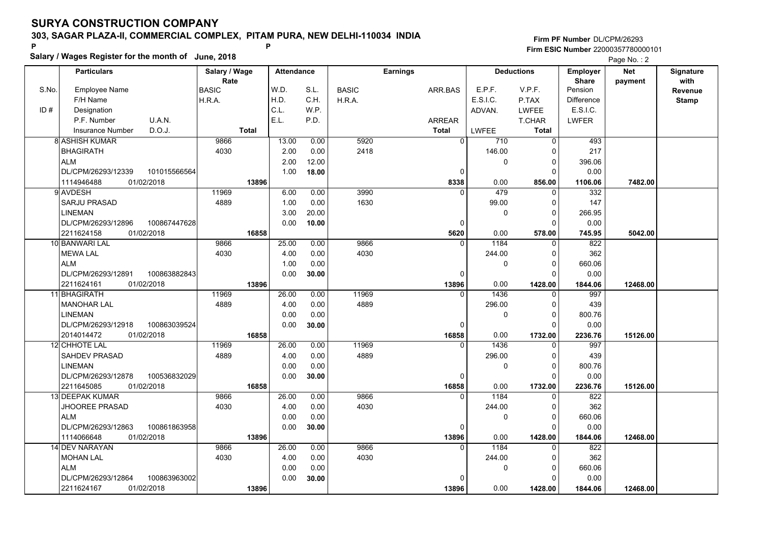**Salary / Wages Register for the month of June, 2018 <sup>P</sup> <sup>P</sup>**

|       | Salary / wages Register for the month of June, 2018 |               |                   |       |              |                 |             |                   | Page No.: 2       |            |              |
|-------|-----------------------------------------------------|---------------|-------------------|-------|--------------|-----------------|-------------|-------------------|-------------------|------------|--------------|
|       | <b>Particulars</b>                                  | Salary / Wage | <b>Attendance</b> |       |              | <b>Earnings</b> |             | <b>Deductions</b> | <b>Employer</b>   | <b>Net</b> | Signature    |
|       |                                                     | Rate          |                   |       |              |                 |             |                   | <b>Share</b>      | payment    | with         |
| S.No. | <b>Employee Name</b>                                | <b>BASIC</b>  | W.D.              | S.L.  | <b>BASIC</b> | ARR.BAS         | E.P.F.      | V.P.F.            | Pension           |            | Revenue      |
|       | F/H Name                                            | H.R.A.        | H.D.              | C.H.  | H.R.A.       |                 | E.S.I.C.    | P.TAX             | <b>Difference</b> |            | <b>Stamp</b> |
| ID#   | Designation                                         |               | C.L.              | W.P.  |              |                 | ADVAN.      | <b>LWFEE</b>      | E.S.I.C.          |            |              |
|       | P.F. Number<br>U.A.N.                               |               | E.L.              | P.D.  |              | <b>ARREAR</b>   |             | T.CHAR            | <b>LWFER</b>      |            |              |
|       | D.O.J.<br><b>Insurance Number</b>                   | <b>Total</b>  |                   |       |              | <b>Total</b>    | LWFEE       | <b>Total</b>      |                   |            |              |
|       | 8 ASHISH KUMAR                                      | 9866          | 13.00             | 0.00  | 5920         | $\Omega$        | 710         | $\overline{0}$    | 493               |            |              |
|       | <b>BHAGIRATH</b>                                    | 4030          | 2.00              | 0.00  | 2418         |                 | 146.00      | $\Omega$          | 217               |            |              |
|       | <b>ALM</b>                                          |               | 2.00              | 12.00 |              |                 | 0           | 0                 | 396.06            |            |              |
|       | DL/CPM/26293/12339<br>101015566564                  |               | 1.00              | 18.00 |              | 0               |             | $\Omega$          | 0.00              |            |              |
|       | 1114946488<br>01/02/2018                            | 13896         |                   |       |              | 8338            | 0.00        | 856.00            | 1106.06           | 7482.00    |              |
|       | 9 AVDESH                                            | 11969         | 6.00              | 0.00  | 3990         | $\Omega$        | 479         | $\Omega$          | 332               |            |              |
|       | <b>SARJU PRASAD</b>                                 | 4889          | 1.00              | 0.00  | 1630         |                 | 99.00       | 0                 | 147               |            |              |
|       | LINEMAN                                             |               | 3.00              | 20.00 |              |                 | 0           | $\Omega$          | 266.95            |            |              |
|       | DL/CPM/26293/12896<br>100867447628                  |               | 0.00              | 10.00 |              | 0               |             | 0                 | 0.00              |            |              |
|       | 2211624158<br>01/02/2018                            | 16858         |                   |       |              | 5620            | 0.00        | 578.00            | 745.95            | 5042.00    |              |
|       | 10 BANWARI LAL                                      | 9866          | 25.00             | 0.00  | 9866         | $\Omega$        | 1184        | 0                 | 822               |            |              |
|       | <b>MEWA LAL</b>                                     | 4030          | 4.00              | 0.00  | 4030         |                 | 244.00      | $\Omega$          | 362               |            |              |
|       | <b>ALM</b>                                          |               | 1.00              | 0.00  |              |                 | $\mathbf 0$ | $\Omega$          | 660.06            |            |              |
|       | 100863882843<br>DL/CPM/26293/12891                  |               | 0.00              | 30.00 |              | $\Omega$        |             | $\Omega$          | 0.00              |            |              |
|       | 2211624161<br>01/02/2018                            | 13896         |                   |       |              | 13896           | 0.00        | 1428.00           | 1844.06           | 12468.00   |              |
|       | 11 BHAGIRATH                                        | 11969         | 26.00             | 0.00  | 11969        | $\Omega$        | 1436        | $\Omega$          | 997               |            |              |
|       | <b>MANOHAR LAL</b>                                  | 4889          | 4.00              | 0.00  | 4889         |                 | 296.00      | $\Omega$          | 439               |            |              |
|       | LINEMAN                                             |               | 0.00              | 0.00  |              |                 | $\mathbf 0$ | 0                 | 800.76            |            |              |
|       | DL/CPM/26293/12918<br>100863039524                  |               | 0.00              | 30.00 |              | $\Omega$        |             | $\Omega$          | 0.00              |            |              |
|       | 2014014472<br>01/02/2018                            | 16858         |                   |       |              | 16858           | 0.00        | 1732.00           | 2236.76           | 15126.00   |              |
|       | <b>12 CHHOTE LAL</b>                                | 11969         | 26.00             | 0.00  | 11969        | $\Omega$        | 1436        | $\Omega$          | 997               |            |              |
|       | <b>SAHDEV PRASAD</b>                                | 4889          | 4.00              | 0.00  | 4889         |                 | 296.00      | 0                 | 439               |            |              |
|       | LINEMAN                                             |               | 0.00              | 0.00  |              |                 | 0           | $\Omega$          | 800.76            |            |              |
|       | DL/CPM/26293/12878<br>100536832029                  |               | 0.00              | 30.00 |              | 0               |             | 0                 | 0.00              |            |              |
|       | 01/02/2018<br>2211645085                            | 16858         |                   |       |              | 16858           | 0.00        | 1732.00           | 2236.76           | 15126.00   |              |
|       | 13 DEEPAK KUMAR                                     | 9866          | 26.00             | 0.00  | 9866         | 0               | 1184        | 0                 | 822               |            |              |
|       | <b>JHOOREE PRASAD</b>                               | 4030          | 4.00              | 0.00  | 4030         |                 | 244.00      | $\Omega$          | 362               |            |              |
|       | <b>ALM</b>                                          |               | 0.00              | 0.00  |              |                 | $\mathbf 0$ | $\Omega$          | 660.06            |            |              |
|       | DL/CPM/26293/12863<br>100861863958                  |               | 0.00              | 30.00 |              | 0               |             | $\Omega$          | 0.00              |            |              |
|       | 1114066648<br>01/02/2018                            | 13896         |                   |       |              | 13896           | 0.00        | 1428.00           | 1844.06           | 12468.00   |              |
|       | 14 DEV NARAYAN                                      | 9866          | 26.00             | 0.00  | 9866         | $\Omega$        | 1184        | $\Omega$          | 822               |            |              |
|       | <b>MOHAN LAL</b>                                    | 4030          | 4.00              | 0.00  | 4030         |                 | 244.00      | $\Omega$          | 362               |            |              |
|       | <b>ALM</b>                                          |               | 0.00              | 0.00  |              |                 | 0           | 0                 | 660.06            |            |              |
|       | 100863963002<br>DL/CPM/26293/12864                  |               | 0.00              | 30.00 |              | $\Omega$        |             | O                 | 0.00              |            |              |
|       | 2211624167<br>01/02/2018                            | 13896         |                   |       |              | 13896           | 0.00        | 1428.00           | 1844.06           | 12468.00   |              |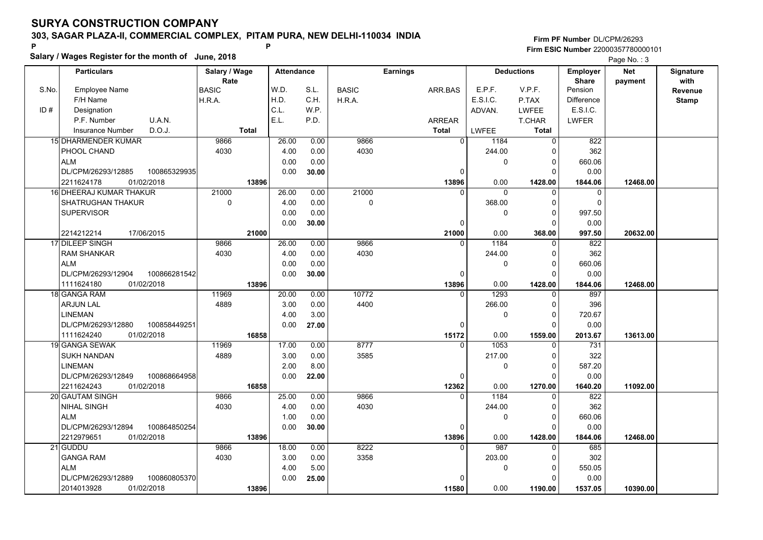**Salary / Wages Register for the month of June, 2018 <sup>P</sup> <sup>P</sup>**

**Firm PF Number**DL/CPM/26293**Firm ESIC Number** 22000357780000101

Page No.: 3

|       | <b>Particulars</b>                 | Salary / Wage        | <b>Attendance</b> |       |              | <b>Earnings</b> |                |          | <b>Deductions</b> | <b>Employer</b>         | <b>Net</b> | <b>Signature</b> |
|-------|------------------------------------|----------------------|-------------------|-------|--------------|-----------------|----------------|----------|-------------------|-------------------------|------------|------------------|
| S.No. | Employee Name                      | Rate<br><b>BASIC</b> | W.D.              | S.L.  | <b>BASIC</b> | ARR.BAS         |                | E.P.F.   | V.P.F.            | <b>Share</b><br>Pension | payment    | with<br>Revenue  |
|       | F/H Name                           | H.R.A.               | H.D.              | C.H.  | H.R.A.       |                 |                | E.S.I.C. | P.TAX             | <b>Difference</b>       |            |                  |
| ID#   | Designation                        |                      | C.L.              | W.P.  |              |                 |                | ADVAN.   | <b>LWFEE</b>      | E.S.I.C.                |            | <b>Stamp</b>     |
|       | P.F. Number<br>U.A.N.              |                      | E.L.              | P.D.  |              | ARREAR          |                |          | T.CHAR            | <b>LWFER</b>            |            |                  |
|       | D.O.J.<br>Insurance Number         | <b>Total</b>         |                   |       |              | <b>Total</b>    |                |          | Total             |                         |            |                  |
|       |                                    |                      |                   |       |              |                 |                | LWFEE    |                   |                         |            |                  |
|       | 15 DHARMENDER KUMAR                | 9866                 | 26.00             | 0.00  | 9866         |                 | $\overline{0}$ | 1184     | $\mathbf{0}$      | 822                     |            |                  |
|       | PHOOL CHAND                        | 4030                 | 4.00              | 0.00  | 4030         |                 |                | 244.00   | O                 | 362                     |            |                  |
|       | <b>ALM</b>                         |                      | 0.00              | 0.00  |              |                 |                | 0        | $\Omega$          | 660.06                  |            |                  |
|       | DL/CPM/26293/12885<br>100865329935 |                      | 0.00              | 30.00 |              |                 | 0              |          |                   | 0.00                    |            |                  |
|       | 01/02/2018<br>2211624178           | 13896                |                   |       |              |                 | 13896          | 0.00     | 1428.00           | 1844.06                 | 12468.00   |                  |
|       | 16 DHEERAJ KUMAR THAKUR            | 21000                | 26.00             | 0.00  | 21000        |                 | $\Omega$       | 0        | $\Omega$          | 0                       |            |                  |
|       | <b>SHATRUGHAN THAKUR</b>           | 0                    | 4.00              | 0.00  | 0            |                 |                | 368.00   | $\Omega$          | $\mathbf 0$             |            |                  |
|       | <b>SUPERVISOR</b>                  |                      | 0.00              | 0.00  |              |                 |                | 0        | $\Omega$          | 997.50                  |            |                  |
|       |                                    |                      | 0.00              | 30.00 |              |                 | $\Omega$       |          | n                 | 0.00                    |            |                  |
|       | 17/06/2015<br>2214212214           | 21000                |                   |       |              |                 | 21000          | 0.00     | 368.00            | 997.50                  | 20632.00   |                  |
|       | 17 DILEEP SINGH                    | 9866                 | 26.00             | 0.00  | 9866         |                 | $\Omega$       | 1184     |                   | 822                     |            |                  |
|       | <b>RAM SHANKAR</b>                 | 4030                 | 4.00              | 0.00  | 4030         |                 |                | 244.00   | $\Omega$          | 362                     |            |                  |
|       | <b>ALM</b>                         |                      | 0.00              | 0.00  |              |                 |                | 0        | $\Omega$          | 660.06                  |            |                  |
|       | DL/CPM/26293/12904<br>100866281542 |                      | 0.00              | 30.00 |              |                 | 0              |          | $\Omega$          | 0.00                    |            |                  |
|       | 1111624180<br>01/02/2018           | 13896                |                   |       |              |                 | 13896          | 0.00     | 1428.00           | 1844.06                 | 12468.00   |                  |
|       | 18 GANGA RAM                       | 11969                | 20.00             | 0.00  | 10772        |                 | $\Omega$       | 1293     |                   | 897                     |            |                  |
|       | <b>ARJUN LAL</b>                   | 4889                 | 3.00              | 0.00  | 4400         |                 |                | 266.00   | $\Omega$          | 396                     |            |                  |
|       | LINEMAN                            |                      | 4.00              | 3.00  |              |                 |                | 0        | $\Omega$          | 720.67                  |            |                  |
|       | 100858449251<br>DL/CPM/26293/12880 |                      | 0.00              | 27.00 |              |                 | 0              |          | $\Omega$          | 0.00                    |            |                  |
|       | 01/02/2018<br>1111624240           | 16858                |                   |       |              |                 | 15172          | 0.00     | 1559.00           | 2013.67                 | 13613.00   |                  |
|       | 19 GANGA SEWAK                     | 11969                | 17.00             | 0.00  | 8777         |                 | $\Omega$       | 1053     | $\Omega$          | 731                     |            |                  |
|       | <b>SUKH NANDAN</b>                 | 4889                 | 3.00              | 0.00  | 3585         |                 |                | 217.00   | $\Omega$          | 322                     |            |                  |
|       | <b>LINEMAN</b>                     |                      | 2.00              | 8.00  |              |                 |                | 0        | $\mathbf 0$       | 587.20                  |            |                  |
|       | DL/CPM/26293/12849<br>100868664958 |                      | 0.00              | 22.00 |              |                 | 0              |          | $\Omega$          | 0.00                    |            |                  |
|       | 2211624243<br>01/02/2018           | 16858                |                   |       |              |                 | 12362          | 0.00     | 1270.00           | 1640.20                 | 11092.00   |                  |
|       | 20 GAUTAM SINGH                    | 9866                 | 25.00             | 0.00  | 9866         |                 | $\Omega$       | 1184     | $\Omega$          | 822                     |            |                  |
|       | <b>NIHAL SINGH</b>                 | 4030                 | 4.00              | 0.00  | 4030         |                 |                | 244.00   | 0                 | 362                     |            |                  |
|       | <b>ALM</b>                         |                      | 1.00              | 0.00  |              |                 |                | 0        | $\Omega$          | 660.06                  |            |                  |
|       | 100864850254<br>DL/CPM/26293/12894 |                      | 0.00              | 30.00 |              |                 | 0              |          | $\Omega$          | 0.00                    |            |                  |
|       | 2212979651<br>01/02/2018           | 13896                |                   |       |              |                 | 13896          | 0.00     | 1428.00           | 1844.06                 | 12468.00   |                  |
|       | 21 GUDDU                           | 9866                 | 18.00             | 0.00  | 8222         |                 | $\mathbf{0}$   | 987      | $\mathbf{0}$      | 685                     |            |                  |
|       | <b>GANGA RAM</b>                   | 4030                 | 3.00              | 0.00  | 3358         |                 |                | 203.00   | $\Omega$          | 302                     |            |                  |
|       | <b>ALM</b>                         |                      | 4.00              | 5.00  |              |                 |                | 0        | $\Omega$          | 550.05                  |            |                  |
|       | DL/CPM/26293/12889<br>100860805370 |                      | 0.00              | 25.00 |              |                 | $\Omega$       |          | $\Omega$          | 0.00                    |            |                  |
|       | 2014013928<br>01/02/2018           | 13896                |                   |       |              |                 | 11580          | 0.00     | 1190.00           | 1537.05                 | 10390.00   |                  |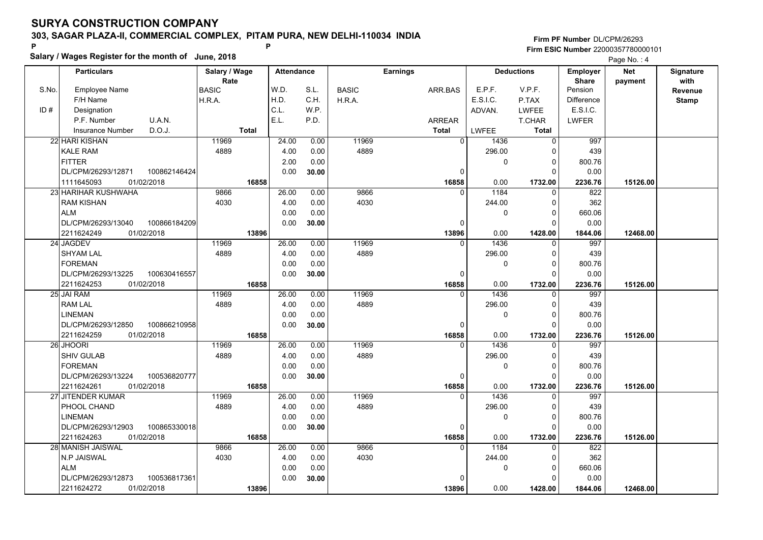**Salary / Wages Register for the month of June, 2018 <sup>P</sup> <sup>P</sup>**

|       | Salary / wages Register for the month of June, 2018 |               |                   |       |              |                 |                |          | Page No.: 4       |                   |            |              |
|-------|-----------------------------------------------------|---------------|-------------------|-------|--------------|-----------------|----------------|----------|-------------------|-------------------|------------|--------------|
|       | <b>Particulars</b>                                  | Salary / Wage | <b>Attendance</b> |       |              | <b>Earnings</b> |                |          | <b>Deductions</b> | <b>Employer</b>   | <b>Net</b> | Signature    |
|       |                                                     | Rate          |                   |       |              |                 |                |          |                   | <b>Share</b>      | payment    | with         |
| S.No. | <b>Employee Name</b>                                | <b>BASIC</b>  | W.D.              | S.L.  | <b>BASIC</b> |                 | ARR.BAS        | E.P.F.   | V.P.F.            | Pension           |            | Revenue      |
|       | F/H Name                                            | H.R.A.        | H.D.              | C.H.  | H.R.A.       |                 |                | E.S.I.C. | P.TAX             | <b>Difference</b> |            | <b>Stamp</b> |
| ID#   | Designation                                         |               | C.L.              | W.P.  |              |                 |                | ADVAN.   | <b>LWFEE</b>      | E.S.I.C.          |            |              |
|       | U.A.N.<br>P.F. Number                               |               | E.L.              | P.D.  |              |                 | <b>ARREAR</b>  |          | T.CHAR            | <b>LWFER</b>      |            |              |
|       | D.O.J.<br><b>Insurance Number</b>                   | <b>Total</b>  |                   |       |              |                 | <b>Total</b>   | LWFEE    | <b>Total</b>      |                   |            |              |
|       | 22 HARI KISHAN                                      | 11969         | 24.00             | 0.00  | 11969        |                 | $\overline{0}$ | 1436     | $\Omega$          | 997               |            |              |
|       | <b>KALE RAM</b>                                     | 4889          | 4.00              | 0.00  | 4889         |                 |                | 296.00   | C                 | 439               |            |              |
|       | <b>FITTER</b>                                       |               | 2.00              | 0.00  |              |                 |                | 0        | $\mathbf 0$       | 800.76            |            |              |
|       | 100862146424<br>DL/CPM/26293/12871                  |               | 0.00              | 30.00 |              |                 | 0              |          | ŋ                 | 0.00              |            |              |
|       | 1111645093<br>01/02/2018                            | 16858         |                   |       |              |                 | 16858          | 0.00     | 1732.00           | 2236.76           | 15126.00   |              |
|       | 23 HARIHAR KUSHWAHA                                 | 9866          | 26.00             | 0.00  | 9866         |                 | $\Omega$       | 1184     | $\Omega$          | 822               |            |              |
|       | <b>RAM KISHAN</b>                                   | 4030          | 4.00              | 0.00  | 4030         |                 |                | 244.00   | $\Omega$          | 362               |            |              |
|       | <b>ALM</b>                                          |               | 0.00              | 0.00  |              |                 |                | 0        | ŋ                 | 660.06            |            |              |
|       | DL/CPM/26293/13040<br>100866184209                  |               | 0.00              | 30.00 |              |                 | $\Omega$       |          |                   | 0.00              |            |              |
|       | 2211624249<br>01/02/2018                            | 13896         |                   |       |              |                 | 13896          | 0.00     | 1428.00           | 1844.06           | 12468.00   |              |
|       | 24 JAGDEV                                           | 11969         | 26.00             | 0.00  | 11969        |                 | $\Omega$       | 1436     | $\Omega$          | 997               |            |              |
|       | <b>SHYAM LAL</b>                                    | 4889          | 4.00              | 0.00  | 4889         |                 |                | 296.00   | $\Omega$          | 439               |            |              |
|       | <b>FOREMAN</b>                                      |               | 0.00              | 0.00  |              |                 |                | 0        | $\Omega$          | 800.76            |            |              |
|       | DL/CPM/26293/13225<br>100630416557                  |               | 0.00              | 30.00 |              |                 | $\Omega$       |          | $\Omega$          | 0.00              |            |              |
|       | 2211624253<br>01/02/2018                            | 16858         |                   |       |              |                 | 16858          | 0.00     | 1732.00           | 2236.76           | 15126.00   |              |
|       | 25 JAI RAM                                          | 11969         | 26.00             | 0.00  | 11969        |                 | $\Omega$       | 1436     | $\Omega$          | 997               |            |              |
|       | <b>RAM LAL</b>                                      | 4889          | 4.00              | 0.00  | 4889         |                 |                | 296.00   | $\Omega$          | 439               |            |              |
|       | <b>LINEMAN</b>                                      |               | 0.00              | 0.00  |              |                 |                | 0        | $\Omega$          | 800.76            |            |              |
|       | DL/CPM/26293/12850<br>100866210958                  |               | 0.00              | 30.00 |              |                 | $\mathbf{0}$   |          | $\Omega$          | 0.00              |            |              |
|       | 2211624259<br>01/02/2018                            | 16858         |                   |       |              |                 | 16858          | 0.00     | 1732.00           | 2236.76           | 15126.00   |              |
|       | 26 JHOORI                                           | 11969         | 26.00             | 0.00  | 11969        |                 | 0              | 1436     | $\Omega$          | 997               |            |              |
|       | <b>SHIV GULAB</b>                                   | 4889          | 4.00              | 0.00  | 4889         |                 |                | 296.00   | $\Omega$          | 439               |            |              |
|       | <b>FOREMAN</b>                                      |               | 0.00              | 0.00  |              |                 |                | 0        | $\Omega$          | 800.76            |            |              |
|       | DL/CPM/26293/13224<br>100536820777                  |               | 0.00              | 30.00 |              |                 | 0              |          | ∩                 | 0.00              |            |              |
|       | 2211624261<br>01/02/2018                            | 16858         |                   |       |              |                 | 16858          | 0.00     | 1732.00           | 2236.76           | 15126.00   |              |
|       | 27 JITENDER KUMAR                                   | 11969         | 26.00             | 0.00  | 11969        |                 | $\Omega$       | 1436     | $\Omega$          | 997               |            |              |
|       | PHOOL CHAND                                         | 4889          | 4.00              | 0.00  | 4889         |                 |                | 296.00   | $\Omega$          | 439               |            |              |
|       | <b>LINEMAN</b>                                      |               | 0.00              | 0.00  |              |                 |                | 0        | 0                 | 800.76            |            |              |
|       | DL/CPM/26293/12903<br>100865330018                  |               | 0.00              | 30.00 |              |                 | $\Omega$       |          | ŋ                 | 0.00              |            |              |
|       | 2211624263<br>01/02/2018                            | 16858         |                   |       |              |                 | 16858          | 0.00     | 1732.00           | 2236.76           | 15126.00   |              |
|       | 28 MANISH JAISWAL                                   | 9866          | 26.00             | 0.00  | 9866         |                 | $\Omega$       | 1184     |                   | 822               |            |              |
|       | N.P JAISWAL                                         | 4030          | 4.00              | 0.00  | 4030         |                 |                | 244.00   | ŋ                 | 362               |            |              |
|       | <b>ALM</b>                                          |               | 0.00              | 0.00  |              |                 |                | 0        | $\Omega$          | 660.06            |            |              |
|       | 100536817361<br>DL/CPM/26293/12873                  |               | 0.00              | 30.00 |              |                 | $\Omega$       |          |                   | 0.00              |            |              |
|       | 01/02/2018<br>2211624272                            | 13896         |                   |       |              |                 | 13896          | 0.00     | 1428.00           | 1844.06           | 12468.00   |              |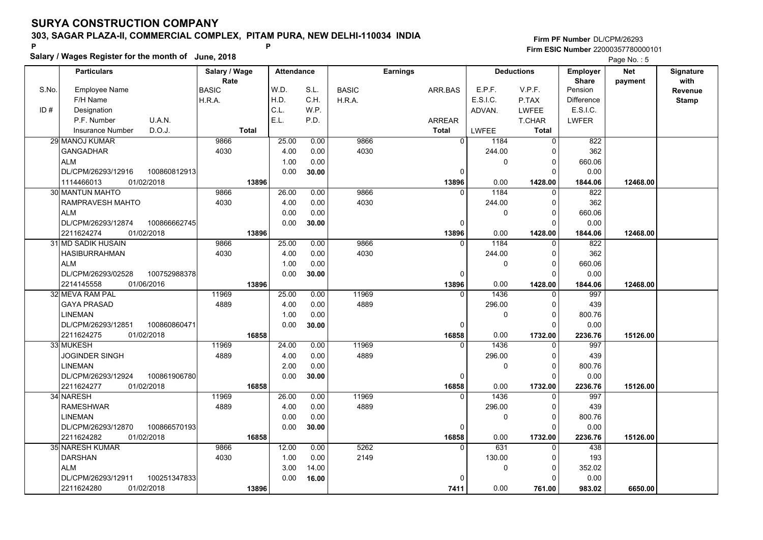**Salary / Wages Register for the month of June, 2018 <sup>P</sup> <sup>P</sup>**

|       | Salary / wages Register for the month of June, 2018 |               |                   |       |              |                 |                  |                   | Page No.: 5       |            |              |
|-------|-----------------------------------------------------|---------------|-------------------|-------|--------------|-----------------|------------------|-------------------|-------------------|------------|--------------|
|       | <b>Particulars</b>                                  | Salary / Wage | <b>Attendance</b> |       |              | <b>Earnings</b> |                  | <b>Deductions</b> | <b>Employer</b>   | <b>Net</b> | Signature    |
|       |                                                     | Rate          |                   |       |              |                 |                  |                   | <b>Share</b>      | payment    | with         |
| S.No. | <b>Employee Name</b>                                | <b>BASIC</b>  | W.D.              | S.L.  | <b>BASIC</b> | ARR.BAS         | E.P.F.           | V.P.F.            | Pension           |            | Revenue      |
|       | F/H Name                                            | H.R.A.        | H.D.              | C.H.  | H.R.A.       |                 | E.S.I.C.         | P.TAX             | <b>Difference</b> |            | <b>Stamp</b> |
| ID#   | Designation                                         |               | C.L.              | W.P.  |              |                 | ADVAN.           | <b>LWFEE</b>      | E.S.I.C.          |            |              |
|       | P.F. Number<br>U.A.N.                               |               | E.L.              | P.D.  |              | <b>ARREAR</b>   |                  | T.CHAR            | <b>LWFER</b>      |            |              |
|       | D.O.J.<br>Insurance Number                          | <b>Total</b>  |                   |       |              | <b>Total</b>    | LWFEE            | <b>Total</b>      |                   |            |              |
|       | 29 MANOJ KUMAR                                      | 9866          | 25.00             | 0.00  | 9866         |                 | $\Omega$<br>1184 | $\Omega$          | 822               |            |              |
|       | <b>GANGADHAR</b>                                    | 4030          | 4.00              | 0.00  | 4030         |                 | 244.00           | $\Omega$          | 362               |            |              |
|       | <b>ALM</b>                                          |               | 1.00              | 0.00  |              |                 | 0                | 0                 | 660.06            |            |              |
|       | DL/CPM/26293/12916<br>100860812913                  |               | 0.00              | 30.00 |              | 0               |                  | $\Omega$          | 0.00              |            |              |
|       | 1114466013<br>01/02/2018                            | 13896         |                   |       |              | 13896           | 0.00             | 1428.00           | 1844.06           | 12468.00   |              |
|       | 30 MANTUN MAHTO                                     | 9866          | 26.00             | 0.00  | 9866         | $\Omega$        | 1184             | $\Omega$          | 822               |            |              |
|       | RAMPRAVESH MAHTO                                    | 4030          | 4.00              | 0.00  | 4030         |                 | 244.00           | 0                 | 362               |            |              |
|       | <b>ALM</b>                                          |               | 0.00              | 0.00  |              |                 | $\mathbf 0$      | $\Omega$          | 660.06            |            |              |
|       | DL/CPM/26293/12874<br>100866662745                  |               | 0.00              | 30.00 |              | 0               |                  | 0                 | 0.00              |            |              |
|       | 2211624274<br>01/02/2018                            | 13896         |                   |       |              | 13896           | 0.00             | 1428.00           | 1844.06           | 12468.00   |              |
|       | 31 MD SADIK HUSAIN                                  | 9866          | 25.00             | 0.00  | 9866         | $\Omega$        | 1184             | 0                 | 822               |            |              |
|       | <b>HASIBURRAHMAN</b>                                | 4030          | 4.00              | 0.00  | 4030         |                 | 244.00           | $\Omega$          | 362               |            |              |
|       | <b>ALM</b>                                          |               | 1.00              | 0.00  |              |                 | $\mathbf 0$      | $\Omega$          | 660.06            |            |              |
|       | 100752988378<br>DL/CPM/26293/02528                  |               | 0.00              | 30.00 |              | 0               |                  | $\Omega$          | 0.00              |            |              |
|       | 2214145558<br>01/06/2016                            | 13896         |                   |       |              | 13896           | 0.00             | 1428.00           | 1844.06           | 12468.00   |              |
|       | 32 MEVA RAM PAL                                     | 11969         | 25.00             | 0.00  | 11969        |                 | 1436<br>$\Omega$ | $\Omega$          | 997               |            |              |
|       | <b>GAYA PRASAD</b>                                  | 4889          | 4.00              | 0.00  | 4889         |                 | 296.00           | $\Omega$          | 439               |            |              |
|       | <b>LINEMAN</b>                                      |               | 1.00              | 0.00  |              |                 | $\mathbf 0$      | 0                 | 800.76            |            |              |
|       | DL/CPM/26293/12851<br>100860860471                  |               | 0.00              | 30.00 |              | $\Omega$        |                  | $\Omega$          | 0.00              |            |              |
|       | 2211624275<br>01/02/2018                            | 16858         |                   |       |              | 16858           | 0.00             | 1732.00           | 2236.76           | 15126.00   |              |
|       | 33 MUKESH                                           | 11969         | 24.00             | 0.00  | 11969        | $\Omega$        | 1436             | 0                 | 997               |            |              |
|       | JOGINDER SINGH                                      | 4889          | 4.00              | 0.00  | 4889         |                 | 296.00           | 0                 | 439               |            |              |
|       | <b>LINEMAN</b>                                      |               | 2.00              | 0.00  |              |                 | 0                | $\Omega$          | 800.76            |            |              |
|       | DL/CPM/26293/12924<br>100861906780                  |               | 0.00              | 30.00 |              | 0               |                  | 0                 | 0.00              |            |              |
|       | 2211624277<br>01/02/2018                            | 16858         |                   |       |              | 16858           | 0.00             | 1732.00           | 2236.76           | 15126.00   |              |
|       | 34 NARESH                                           | 11969         | 26.00             | 0.00  | 11969        | $\Omega$        | 1436             | 0                 | 997               |            |              |
|       | <b>RAMESHWAR</b>                                    | 4889          | 4.00              | 0.00  | 4889         |                 | 296.00           | $\Omega$          | 439               |            |              |
|       | <b>LINEMAN</b>                                      |               | 0.00              | 0.00  |              |                 | $\mathbf 0$      | $\Omega$          | 800.76            |            |              |
|       | DL/CPM/26293/12870<br>100866570193                  |               | 0.00              | 30.00 |              | $\Omega$        |                  | $\Omega$          | 0.00              |            |              |
|       | 2211624282<br>01/02/2018                            | 16858         |                   |       |              | 16858           | 0.00             | 1732.00           | 2236.76           | 15126.00   |              |
|       | 35 NARESH KUMAR                                     | 9866          | 12.00             | 0.00  | 5262         |                 | 631<br>$\Omega$  | $\Omega$          | 438               |            |              |
|       | <b>DARSHAN</b>                                      | 4030          | 1.00              | 0.00  | 2149         |                 | 130.00           | $\Omega$          | 193               |            |              |
|       | <b>ALM</b>                                          |               | 3.00              | 14.00 |              |                 | 0                | $\Omega$          | 352.02            |            |              |
|       | 100251347833<br>DL/CPM/26293/12911                  |               | 0.00              | 16.00 |              |                 |                  | O                 | 0.00              |            |              |
|       | 01/02/2018<br>2211624280                            | 13896         |                   |       |              | 7411            | 0.00             | 761.00            | 983.02            | 6650.00    |              |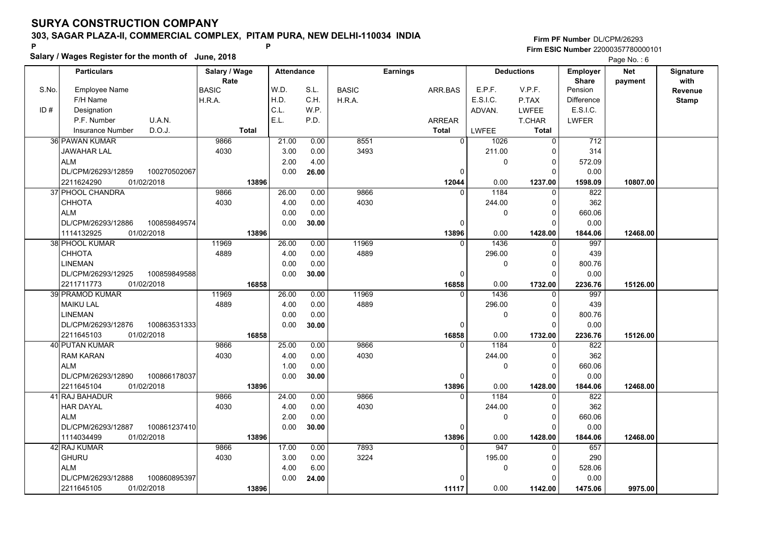**Salary / Wages Register for the month of June, 2018 <sup>P</sup> <sup>P</sup>**

|       | Salary / wages Register for the month of June, 2018 |               |                   |       |              |                 |              | Page No.: 6       |                   |            |              |
|-------|-----------------------------------------------------|---------------|-------------------|-------|--------------|-----------------|--------------|-------------------|-------------------|------------|--------------|
|       | <b>Particulars</b>                                  | Salary / Wage | <b>Attendance</b> |       |              | <b>Earnings</b> |              | <b>Deductions</b> | <b>Employer</b>   | <b>Net</b> | Signature    |
|       |                                                     | Rate          |                   |       |              |                 |              |                   | <b>Share</b>      | payment    | with         |
| S.No. | <b>Employee Name</b>                                | <b>BASIC</b>  | W.D.              | S.L.  | <b>BASIC</b> | ARR.BAS         | E.P.F.       | V.P.F.            | Pension           |            | Revenue      |
|       | F/H Name                                            | H.R.A.        | H.D.              | C.H.  | H.R.A.       |                 | E.S.I.C.     | P.TAX             | <b>Difference</b> |            | <b>Stamp</b> |
| ID#   | Designation                                         |               | C.L.              | W.P.  |              |                 | ADVAN.       | <b>LWFEE</b>      | E.S.I.C.          |            |              |
|       | U.A.N.<br>P.F. Number                               |               | E.L.              | P.D.  |              | <b>ARREAR</b>   |              | T.CHAR            | <b>LWFER</b>      |            |              |
|       | D.O.J.<br>Insurance Number                          | <b>Total</b>  |                   |       |              | <b>Total</b>    | <b>LWFEE</b> | Total             |                   |            |              |
|       | 36 PAWAN KUMAR                                      | 9866          | 21.00             | 0.00  | 8551         | $\Omega$        | 1026         | $\overline{0}$    | 712               |            |              |
|       | <b>JAWAHAR LAL</b>                                  | 4030          | 3.00              | 0.00  | 3493         |                 | 211.00       | $\Omega$          | 314               |            |              |
|       | <b>ALM</b>                                          |               | 2.00              | 4.00  |              |                 | 0            | 0                 | 572.09            |            |              |
|       | DL/CPM/26293/12859<br>100270502067                  |               | 0.00              | 26.00 |              | 0               |              | $\Omega$          | 0.00              |            |              |
|       | 2211624290<br>01/02/2018                            | 13896         |                   |       |              | 12044           | 0.00         | 1237.00           | 1598.09           | 10807.00   |              |
|       | 37 PHOOL CHANDRA                                    | 9866          | 26.00             | 0.00  | 9866         | $\Omega$        | 1184         | $\Omega$          | 822               |            |              |
|       | <b>CHHOTA</b>                                       | 4030          | 4.00              | 0.00  | 4030         |                 | 244.00       | 0                 | 362               |            |              |
|       | <b>ALM</b>                                          |               | 0.00              | 0.00  |              |                 | 0            | $\mathbf 0$       | 660.06            |            |              |
|       | DL/CPM/26293/12886<br>100859849574                  |               | 0.00              | 30.00 |              | $\Omega$        |              | 0                 | 0.00              |            |              |
|       | 1114132925<br>01/02/2018                            | 13896         |                   |       |              | 13896           | 0.00         | 1428.00           | 1844.06           | 12468.00   |              |
|       | 38 PHOOL KUMAR                                      | 11969         | 26.00             | 0.00  | 11969        | $\Omega$        | 1436         | 0                 | 997               |            |              |
|       | <b>CHHOTA</b>                                       | 4889          | 4.00              | 0.00  | 4889         |                 | 296.00       | 0                 | 439               |            |              |
|       | <b>LINEMAN</b>                                      |               | 0.00              | 0.00  |              |                 | 0            | $\Omega$          | 800.76            |            |              |
|       | DL/CPM/26293/12925<br>100859849588                  |               | 0.00              | 30.00 |              | $\Omega$        |              | $\Omega$          | 0.00              |            |              |
|       | 2211711773<br>01/02/2018                            | 16858         |                   |       |              | 16858           | 0.00         | 1732.00           | 2236.76           | 15126.00   |              |
|       | 39 PRAMOD KUMAR                                     | 11969         | 26.00             | 0.00  | 11969        | $\Omega$        | 1436         | $\Omega$          | 997               |            |              |
|       | <b>MAIKU LAL</b>                                    | 4889          | 4.00              | 0.00  | 4889         |                 | 296.00       | $\Omega$          | 439               |            |              |
|       | <b>LINEMAN</b>                                      |               | 0.00              | 0.00  |              |                 | 0            | 0                 | 800.76            |            |              |
|       | DL/CPM/26293/12876<br>100863531333                  |               | 0.00              | 30.00 |              | $\Omega$        |              | $\Omega$          | 0.00              |            |              |
|       | 2211645103<br>01/02/2018                            | 16858         |                   |       |              | 16858           | 0.00         | 1732.00           | 2236.76           | 15126.00   |              |
|       | <b>40 PUTAN KUMAR</b>                               | 9866          | 25.00             | 0.00  | 9866         | $\Omega$        | 1184         | $\Omega$          | 822               |            |              |
|       | <b>RAM KARAN</b>                                    | 4030          | 4.00              | 0.00  | 4030         |                 | 244.00       | 0                 | 362               |            |              |
|       | <b>ALM</b>                                          |               | 1.00              | 0.00  |              |                 | 0            | $\Omega$          | 660.06            |            |              |
|       | DL/CPM/26293/12890<br>100866178037                  |               | 0.00              | 30.00 |              | 0               |              | 0                 | 0.00              |            |              |
|       | 01/02/2018<br>2211645104                            | 13896         |                   |       |              | 13896           | 0.00         | 1428.00           | 1844.06           | 12468.00   |              |
|       | 41 RAJ BAHADUR                                      | 9866          | 24.00             | 0.00  | 9866         | $\Omega$        | 1184         | 0                 | 822               |            |              |
|       | <b>HAR DAYAL</b>                                    | 4030          | 4.00              | 0.00  | 4030         |                 | 244.00       | $\Omega$          | 362               |            |              |
|       | <b>ALM</b>                                          |               | 2.00              | 0.00  |              |                 | $\Omega$     | $\Omega$          | 660.06            |            |              |
|       | DL/CPM/26293/12887<br>100861237410                  |               | 0.00              | 30.00 |              | $\mathbf 0$     |              | $\Omega$          | 0.00              |            |              |
|       | 1114034499<br>01/02/2018                            | 13896         |                   |       |              | 13896           | 0.00         | 1428.00           | 1844.06           | 12468.00   |              |
|       | 42 RAJ KUMAR                                        | 9866          | 17.00             | 0.00  | 7893         | $\Omega$        | 947          | $\Omega$          | 657               |            |              |
|       | <b>GHURU</b>                                        | 4030          | 3.00              | 0.00  | 3224         |                 | 195.00       | 0                 | 290               |            |              |
|       | <b>ALM</b>                                          |               | 4.00              | 6.00  |              |                 | 0            | 0                 | 528.06            |            |              |
|       | DL/CPM/26293/12888<br>100860895397                  |               | 0.00              | 24.00 |              | $\Omega$        |              | O                 | 0.00              |            |              |
|       | 2211645105<br>01/02/2018                            | 13896         |                   |       |              | 11117           | 0.00         | 1142.00           | 1475.06           | 9975.00    |              |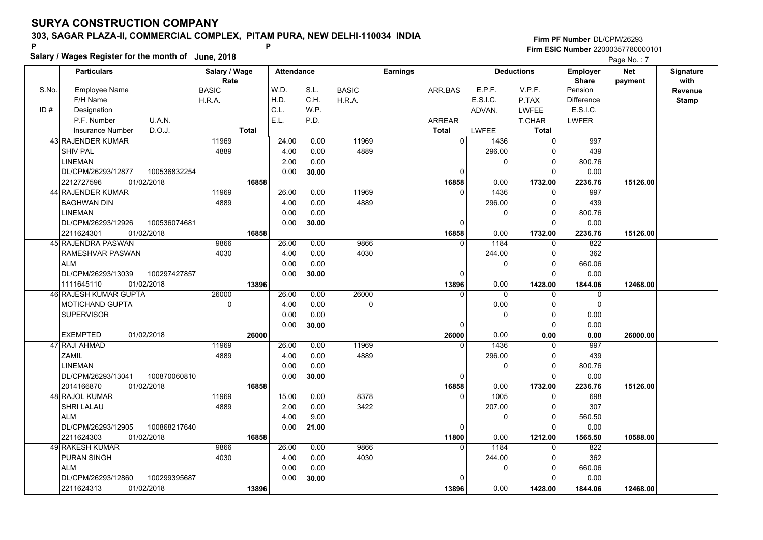**Salary / Wages Register for the month of June, 2018 <sup>P</sup> <sup>P</sup>**

|       | Salary / wages Register for the month of June, 2018 |               |                   |       |              |                 |              |                   | Page No.: 7       |            |              |
|-------|-----------------------------------------------------|---------------|-------------------|-------|--------------|-----------------|--------------|-------------------|-------------------|------------|--------------|
|       | <b>Particulars</b>                                  | Salary / Wage | <b>Attendance</b> |       |              | <b>Earnings</b> |              | <b>Deductions</b> | <b>Employer</b>   | <b>Net</b> | Signature    |
|       |                                                     | Rate          |                   |       |              |                 |              |                   | <b>Share</b>      | payment    | with         |
| S.No. | <b>Employee Name</b>                                | <b>BASIC</b>  | W.D.              | S.L.  | <b>BASIC</b> | ARR.BAS         | E.P.F.       | V.P.F.            | Pension           |            | Revenue      |
|       | F/H Name                                            | H.R.A.        | H.D.              | C.H.  | H.R.A.       |                 | E.S.I.C.     | P.TAX             | <b>Difference</b> |            | <b>Stamp</b> |
| ID#   | Designation                                         |               | C.L.              | W.P.  |              |                 | ADVAN.       | <b>LWFEE</b>      | E.S.I.C.          |            |              |
|       | P.F. Number<br>U.A.N.                               |               | E.L.              | P.D.  |              | <b>ARREAR</b>   |              | T.CHAR            | <b>LWFER</b>      |            |              |
|       | D.O.J.<br><b>Insurance Number</b>                   | <b>Total</b>  |                   |       |              | <b>Total</b>    | <b>LWFEE</b> | <b>Total</b>      |                   |            |              |
|       | 43 RAJENDER KUMAR                                   | 11969         | 24.00             | 0.00  | 11969        | $\Omega$        | 1436         | $\Omega$          | 997               |            |              |
|       | <b>SHIV PAL</b>                                     | 4889          | 4.00              | 0.00  | 4889         |                 | 296.00       | $\Omega$          | 439               |            |              |
|       | <b>LINEMAN</b>                                      |               | 2.00              | 0.00  |              |                 | $\pmb{0}$    | 0                 | 800.76            |            |              |
|       | 100536832254<br>DL/CPM/26293/12877                  |               | 0.00              | 30.00 |              | 0               |              | $\Omega$          | 0.00              |            |              |
|       | 2212727596<br>01/02/2018                            | 16858         |                   |       |              | 16858           | 0.00         | 1732.00           | 2236.76           | 15126.00   |              |
|       | 44 RAJENDER KUMAR                                   | 11969         | 26.00             | 0.00  | 11969        | $\Omega$        | 1436         | $\Omega$          | 997               |            |              |
|       | <b>BAGHWAN DIN</b>                                  | 4889          | 4.00              | 0.00  | 4889         |                 | 296.00       | 0                 | 439               |            |              |
|       | <b>LINEMAN</b>                                      |               | 0.00              | 0.00  |              |                 | 0            | $\Omega$          | 800.76            |            |              |
|       | DL/CPM/26293/12926<br>100536074681                  |               | 0.00              | 30.00 |              | $\Omega$        |              | 0                 | 0.00              |            |              |
|       | 2211624301<br>01/02/2018                            | 16858         |                   |       |              | 16858           | 0.00         | 1732.00           | 2236.76           | 15126.00   |              |
|       | 45 RAJENDRA PASWAN                                  | 9866          | 26.00             | 0.00  | 9866         | $\Omega$        | 1184         | 0                 | 822               |            |              |
|       | RAMESHVAR PASWAN                                    | 4030          | 4.00              | 0.00  | 4030         |                 | 244.00       | $\Omega$          | 362               |            |              |
|       | <b>ALM</b>                                          |               | 0.00              | 0.00  |              |                 | $\mathbf 0$  | $\Omega$          | 660.06            |            |              |
|       | 100297427857<br>DL/CPM/26293/13039                  |               | 0.00              | 30.00 |              | $\Omega$        |              | $\Omega$          | 0.00              |            |              |
|       | 1111645110<br>01/02/2018                            | 13896         |                   |       |              | 13896           | 0.00         | 1428.00           | 1844.06           | 12468.00   |              |
|       | <b>46 RAJESH KUMAR GUPTA</b>                        | 26000         | 26.00             | 0.00  | 26000        | $\Omega$        | $\Omega$     | $\Omega$          | $\mathbf 0$       |            |              |
|       | <b>MOTICHAND GUPTA</b>                              | $\mathbf 0$   | 4.00              | 0.00  | 0            |                 | 0.00         | $\Omega$          | $\Omega$          |            |              |
|       | <b>SUPERVISOR</b>                                   |               | 0.00              | 0.00  |              |                 | $\mathbf 0$  | 0                 | 0.00              |            |              |
|       |                                                     |               | 0.00              | 30.00 |              | $\Omega$        |              | $\Omega$          | 0.00              |            |              |
|       | <b>EXEMPTED</b><br>01/02/2018                       | 26000         |                   |       |              | 26000           | 0.00         | 0.00              | 0.00              | 26000.00   |              |
|       | 47 RAJI AHMAD                                       | 11969         | 26.00             | 0.00  | 11969        | $\Omega$        | 1436         | $\Omega$          | 997               |            |              |
|       | <b>ZAMIL</b>                                        | 4889          | 4.00              | 0.00  | 4889         |                 | 296.00       | 0                 | 439               |            |              |
|       | <b>LINEMAN</b>                                      |               | 0.00              | 0.00  |              |                 | 0            | $\Omega$          | 800.76            |            |              |
|       | 100870060810<br>DL/CPM/26293/13041                  |               | 0.00              | 30.00 |              | 0               |              | 0                 | 0.00              |            |              |
|       | 2014166870<br>01/02/2018                            | 16858         |                   |       |              | 16858           | 0.00         | 1732.00           | 2236.76           | 15126.00   |              |
|       | 48 RAJOL KUMAR                                      | 11969         | 15.00             | 0.00  | 8378         | 0               | 1005         | 0                 | 698               |            |              |
|       | SHRI LALAU                                          | 4889          | 2.00              | 0.00  | 3422         |                 | 207.00       | $\Omega$          | 307               |            |              |
|       | <b>ALM</b>                                          |               | 4.00              | 9.00  |              |                 | $\mathbf 0$  | $\Omega$          | 560.50            |            |              |
|       | DL/CPM/26293/12905<br>100868217640                  |               | 0.00              | 21.00 |              | $\Omega$        |              | $\Omega$          | 0.00              |            |              |
|       | 2211624303<br>01/02/2018                            | 16858         |                   |       |              | 11800           | 0.00         | 1212.00           | 1565.50           | 10588.00   |              |
|       | <b>49 RAKESH KUMAR</b>                              | 9866          | 26.00             | 0.00  | 9866         | $\Omega$        | 1184         | $\Omega$          | 822               |            |              |
|       | <b>PURAN SINGH</b>                                  | 4030          | 4.00              | 0.00  | 4030         |                 | 244.00       | $\Omega$          | 362               |            |              |
|       | <b>ALM</b>                                          |               | 0.00              | 0.00  |              |                 | 0            | $\Omega$          | 660.06            |            |              |
|       | 100299395687<br>DL/CPM/26293/12860                  |               | 0.00              | 30.00 |              |                 |              | O                 | 0.00              |            |              |
|       | 01/02/2018<br>2211624313                            | 13896         |                   |       |              | 13896           | 0.00         | 1428.00           | 1844.06           | 12468.00   |              |
|       |                                                     |               |                   |       |              |                 |              |                   |                   |            |              |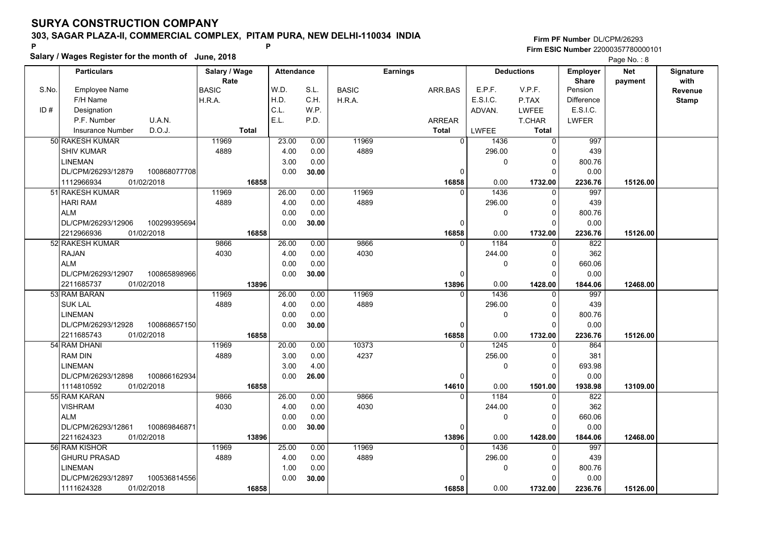**Salary / Wages Register for the month of June, 2018 <sup>P</sup> <sup>P</sup>**

|       | Salary / wages Register for the month of June, 2018 |               |                   |       |              |                 |              |                   | Page No.: 8      |            |              |
|-------|-----------------------------------------------------|---------------|-------------------|-------|--------------|-----------------|--------------|-------------------|------------------|------------|--------------|
|       | <b>Particulars</b>                                  | Salary / Wage | <b>Attendance</b> |       |              | <b>Earnings</b> |              | <b>Deductions</b> | <b>Employer</b>  | <b>Net</b> | Signature    |
|       |                                                     | Rate          |                   |       |              |                 |              |                   | <b>Share</b>     | payment    | with         |
| S.No. | <b>Employee Name</b>                                | <b>BASIC</b>  | W.D.              | S.L.  | <b>BASIC</b> | ARR.BAS         | E.P.F.       | V.P.F.            | Pension          |            | Revenue      |
|       | F/H Name                                            | H.R.A.        | H.D.              | C.H.  | H.R.A.       |                 | E.S.I.C.     | P.TAX             | Difference       |            | <b>Stamp</b> |
| ID#   | Designation                                         |               | C.L.              | W.P.  |              |                 | ADVAN.       | <b>LWFEE</b>      | E.S.I.C.         |            |              |
|       | U.A.N.<br>P.F. Number                               |               | E.L.              | P.D.  |              | <b>ARREAR</b>   |              | <b>T.CHAR</b>     | <b>LWFER</b>     |            |              |
|       | D.O.J.<br><b>Insurance Number</b>                   | <b>Total</b>  |                   |       |              | <b>Total</b>    | LWFEE        | <b>Total</b>      |                  |            |              |
|       | 50 RAKESH KUMAR                                     | 11969         | 23.00             | 0.00  | 11969        | $\Omega$        | 1436         | $\overline{0}$    | 997              |            |              |
|       | <b>SHIV KUMAR</b>                                   | 4889          | 4.00              | 0.00  | 4889         |                 | 296.00       | $\Omega$          | 439              |            |              |
|       | <b>LINEMAN</b>                                      |               | 3.00              | 0.00  |              |                 | 0            | 0                 | 800.76           |            |              |
|       | DL/CPM/26293/12879<br>100868077708                  |               | 0.00              | 30.00 |              | 0               |              | $\Omega$          | 0.00             |            |              |
|       | 1112966934<br>01/02/2018                            | 16858         |                   |       |              | 16858           | 0.00         | 1732.00           | 2236.76          | 15126.00   |              |
|       | 51 RAKESH KUMAR                                     | 11969         | 26.00             | 0.00  | 11969        | $\Omega$        | 1436         | $\Omega$          | 997              |            |              |
|       | <b>HARI RAM</b>                                     | 4889          | 4.00              | 0.00  | 4889         |                 | 296.00       | 0                 | 439              |            |              |
|       | <b>ALM</b>                                          |               | 0.00              | 0.00  |              |                 | $\mathbf 0$  | $\Omega$          | 800.76           |            |              |
|       | DL/CPM/26293/12906<br>100299395694                  |               | 0.00              | 30.00 |              | $\Omega$        |              | $\Omega$          | 0.00             |            |              |
|       | 2212966936<br>01/02/2018                            | 16858         |                   |       |              | 16858           | 0.00         | 1732.00           | 2236.76          | 15126.00   |              |
|       | 52 RAKESH KUMAR                                     | 9866          | 26.00             | 0.00  | 9866         | $\Omega$        | 1184         | 0                 | 822              |            |              |
|       | <b>RAJAN</b>                                        | 4030          | 4.00              | 0.00  | 4030         |                 | 244.00       | $\Omega$          | 362              |            |              |
|       | <b>ALM</b>                                          |               | 0.00              | 0.00  |              |                 | $\mathbf{0}$ | $\Omega$          | 660.06           |            |              |
|       | DL/CPM/26293/12907<br>100865898966                  |               | 0.00              | 30.00 |              | $\Omega$        |              | $\Omega$          | 0.00             |            |              |
|       | 2211685737<br>01/02/2018                            | 13896         |                   |       |              | 13896           | 0.00         | 1428.00           | 1844.06          | 12468.00   |              |
|       | 53 RAM BARAN                                        | 11969         | 26.00             | 0.00  | 11969        | $\Omega$        | 1436         | $\Omega$          | $\overline{997}$ |            |              |
|       | <b>SUK LAL</b>                                      | 4889          | 4.00              | 0.00  | 4889         |                 | 296.00       | $\Omega$          | 439              |            |              |
|       | <b>LINEMAN</b>                                      |               | 0.00              | 0.00  |              |                 | $\mathbf 0$  | 0                 | 800.76           |            |              |
|       | DL/CPM/26293/12928<br>100868657150                  |               | 0.00              | 30.00 |              | $\Omega$        |              | $\Omega$          | 0.00             |            |              |
|       | 2211685743<br>01/02/2018                            | 16858         |                   |       |              | 16858           | 0.00         | 1732.00           | 2236.76          | 15126.00   |              |
|       | 54 RAM DHANI                                        | 11969         | 20.00             | 0.00  | 10373        | $\Omega$        | 1245         | 0                 | 864              |            |              |
|       | <b>RAM DIN</b>                                      | 4889          | 3.00              | 0.00  | 4237         |                 | 256.00       | 0                 | 381              |            |              |
|       | <b>LINEMAN</b>                                      |               | 3.00              | 4.00  |              |                 | $\Omega$     | $\Omega$          | 693.98           |            |              |
|       | DL/CPM/26293/12898<br>100866162934                  |               | 0.00              | 26.00 |              | 0               |              | $\Omega$          | 0.00             |            |              |
|       | 1114810592<br>01/02/2018                            | 16858         |                   |       |              | 14610           | 0.00         | 1501.00           | 1938.98          | 13109.00   |              |
|       | 55 RAM KARAN                                        | 9866          | 26.00             | 0.00  | 9866         | $\Omega$        | 1184         | 0                 | 822              |            |              |
|       | <b>VISHRAM</b>                                      | 4030          | 4.00              | 0.00  | 4030         |                 | 244.00       | $\Omega$          | 362              |            |              |
|       | <b>ALM</b>                                          |               | 0.00              | 0.00  |              |                 | $\Omega$     | 0                 | 660.06           |            |              |
|       | DL/CPM/26293/12861<br>100869846871                  |               | 0.00              | 30.00 |              | $\Omega$        |              | O                 | 0.00             |            |              |
|       | 2211624323<br>01/02/2018                            | 13896         |                   |       |              | 13896           | 0.00         | 1428.00           | 1844.06          | 12468.00   |              |
|       | 56 RAM KISHOR                                       | 11969         | 25.00             | 0.00  | 11969        | $\Omega$        | 1436         | $\Omega$          | 997              |            |              |
|       | <b>GHURU PRASAD</b>                                 | 4889          | 4.00              | 0.00  | 4889         |                 | 296.00       | O                 | 439              |            |              |
|       | <b>LINEMAN</b>                                      |               | 1.00              | 0.00  |              |                 | $\mathbf 0$  | 0                 | 800.76           |            |              |
|       | 100536814556<br>DL/CPM/26293/12897                  |               | 0.00              | 30.00 |              |                 |              |                   | 0.00             |            |              |
|       | 01/02/2018<br>1111624328                            | 16858         |                   |       |              | 16858           | 0.00         | 1732.00           | 2236.76          | 15126.00   |              |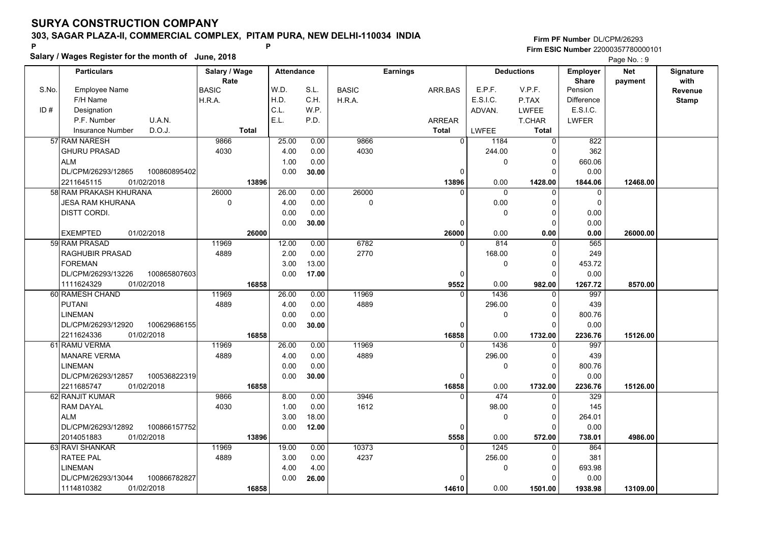**Salary / Wages Register for the month of June, 2018 <sup>P</sup> <sup>P</sup>**

|       | Salary / wages Register for the month of June, 2018 |                     |                   |       |              |                 |              |                   | Page No.: 9       |            |              |
|-------|-----------------------------------------------------|---------------------|-------------------|-------|--------------|-----------------|--------------|-------------------|-------------------|------------|--------------|
|       | <b>Particulars</b>                                  | Salary / Wage       | <b>Attendance</b> |       |              | <b>Earnings</b> |              | <b>Deductions</b> | <b>Employer</b>   | <b>Net</b> | Signature    |
|       |                                                     | Rate                |                   |       |              |                 |              |                   | <b>Share</b>      | payment    | with         |
| S.No. | <b>Employee Name</b>                                | <b>BASIC</b>        | W.D.              | S.L.  | <b>BASIC</b> | ARR.BAS         | E.P.F.       | V.P.F.            | Pension           |            | Revenue      |
|       | F/H Name                                            | H.R.A.              | H.D.              | C.H.  | H.R.A.       |                 | E.S.I.C.     | P.TAX             | <b>Difference</b> |            | <b>Stamp</b> |
| ID#   | Designation                                         |                     | C.L.              | W.P.  |              |                 | ADVAN.       | <b>LWFEE</b>      | E.S.I.C.          |            |              |
|       | U.A.N.<br>P.F. Number                               |                     | E.L.              | P.D.  |              | <b>ARREAR</b>   |              | T.CHAR            | <b>LWFER</b>      |            |              |
|       | D.O.J.<br>Insurance Number                          | <b>Total</b>        |                   |       |              | <b>Total</b>    | <b>LWFEE</b> | Total             |                   |            |              |
|       | 57 RAM NARESH                                       | 9866                | 25.00             | 0.00  | 9866         | $\Omega$        | 1184         | $\Omega$          | 822               |            |              |
|       | <b>GHURU PRASAD</b>                                 | 4030                | 4.00              | 0.00  | 4030         |                 | 244.00       | $\Omega$          | 362               |            |              |
|       | <b>ALM</b>                                          |                     | 1.00              | 0.00  |              |                 | 0            | 0                 | 660.06            |            |              |
|       | DL/CPM/26293/12865<br>100860895402                  |                     | 0.00              | 30.00 |              | 0               |              | $\Omega$          | 0.00              |            |              |
|       | 2211645115<br>01/02/2018                            | 13896               |                   |       |              | 13896           | 0.00         | 1428.00           | 1844.06           | 12468.00   |              |
|       | 58 RAM PRAKASH KHURANA                              | 26000               | 26.00             | 0.00  | 26000        |                 | $\mathbf{0}$ | $\Omega$          | $\mathbf{0}$      |            |              |
|       | <b>JESA RAM KHURANA</b>                             | $\mathsf{O}\xspace$ | 4.00              | 0.00  | 0            |                 | 0.00         | 0                 | $\mathbf 0$       |            |              |
|       | <b>DISTT CORDI.</b>                                 |                     | 0.00              | 0.00  |              |                 | 0            | $\mathbf 0$       | 0.00              |            |              |
|       |                                                     |                     | 0.00              | 30.00 |              | $\Omega$        |              | $\Omega$          | 0.00              |            |              |
|       | <b>EXEMPTED</b><br>01/02/2018                       | 26000               |                   |       |              | 26000           | 0.00         | 0.00              | 0.00              | 26000.00   |              |
|       | 59 RAM PRASAD                                       | 11969               | 12.00             | 0.00  | 6782         | $\Omega$        | 814          | 0                 | 565               |            |              |
|       | <b>RAGHUBIR PRASAD</b>                              | 4889                | 2.00              | 0.00  | 2770         |                 | 168.00       | 0                 | 249               |            |              |
|       | <b>FOREMAN</b>                                      |                     | 3.00              | 13.00 |              |                 | $\mathbf 0$  | $\Omega$          | 453.72            |            |              |
|       | DL/CPM/26293/13226<br>100865807603                  |                     | 0.00              | 17.00 |              | $\mathbf 0$     |              | $\Omega$          | 0.00              |            |              |
|       | 1111624329<br>01/02/2018                            | 16858               |                   |       |              | 9552            | 0.00         | 982.00            | 1267.72           | 8570.00    |              |
|       | 60 RAMESH CHAND                                     | 11969               | 26.00             | 0.00  | 11969        | $\Omega$        | 1436         | $\overline{0}$    | 997               |            |              |
|       | <b>PUTANI</b>                                       | 4889                | 4.00              | 0.00  | 4889         |                 | 296.00       | $\Omega$          | 439               |            |              |
|       | <b>LINEMAN</b>                                      |                     | 0.00              | 0.00  |              |                 | $\mathbf 0$  | $\mathbf 0$       | 800.76            |            |              |
|       | DL/CPM/26293/12920<br>100629686155                  |                     | 0.00              | 30.00 |              | $\Omega$        |              | $\Omega$          | 0.00              |            |              |
|       | 2211624336<br>01/02/2018                            | 16858               |                   |       |              | 16858           | 0.00         | 1732.00           | 2236.76           | 15126.00   |              |
|       | 61 RAMU VERMA                                       | 11969               | 26.00             | 0.00  | 11969        | $\Omega$        | 1436         | $\Omega$          | 997               |            |              |
|       | <b>MANARE VERMA</b>                                 | 4889                | 4.00              | 0.00  | 4889         |                 | 296.00       | 0                 | 439               |            |              |
|       | <b>LINEMAN</b>                                      |                     | 0.00              | 0.00  |              |                 | 0            | $\Omega$          | 800.76            |            |              |
|       | DL/CPM/26293/12857<br>100536822319                  |                     | 0.00              | 30.00 |              | 0               |              | 0                 | 0.00              |            |              |
|       | 01/02/2018<br>2211685747                            | 16858               |                   |       |              | 16858           | 0.00         | 1732.00           | 2236.76           | 15126.00   |              |
|       | 62 RANJIT KUMAR                                     | 9866                | 8.00              | 0.00  | 3946         | $\Omega$        | 474          | 0                 | 329               |            |              |
|       | <b>RAM DAYAL</b>                                    | 4030                | 1.00              | 0.00  | 1612         |                 | 98.00        | $\Omega$          | 145               |            |              |
|       | <b>ALM</b>                                          |                     | 3.00              | 18.00 |              |                 | $\Omega$     | $\Omega$          | 264.01            |            |              |
|       | DL/CPM/26293/12892<br>100866157752                  |                     | 0.00              | 12.00 |              | 0               |              | $\Omega$          | 0.00              |            |              |
|       | 2014051883<br>01/02/2018                            | 13896               |                   |       |              | 5558            | 0.00         | 572.00            | 738.01            | 4986.00    |              |
|       | 63 RAVI SHANKAR                                     | 11969               | 19.00             | 0.00  | 10373        | $\Omega$        | 1245         | $\Omega$          | 864               |            |              |
|       | <b>RATEE PAL</b>                                    | 4889                | 3.00              | 0.00  | 4237         |                 | 256.00       | 0                 | 381               |            |              |
|       | <b>LINEMAN</b>                                      |                     | 4.00              | 4.00  |              |                 | 0            | 0                 | 693.98            |            |              |
|       | DL/CPM/26293/13044<br>100866782827                  |                     | 0.00              | 26.00 |              | $\Omega$        |              | 0                 | 0.00              |            |              |
|       | 1114810382<br>01/02/2018                            | 16858               |                   |       |              | 14610           | 0.00         | 1501.00           | 1938.98           | 13109.00   |              |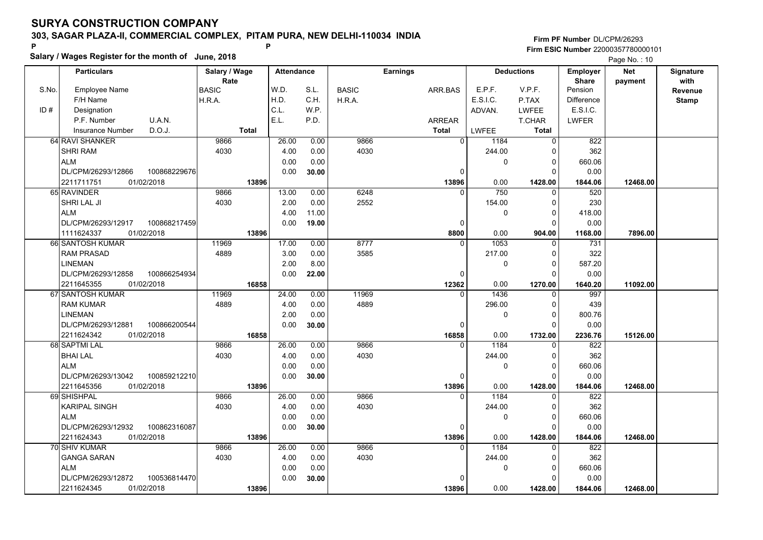**Salary / Wages Register for the month of June, 2018 <sup>P</sup> <sup>P</sup>**

#### **Firm PF Number**DL/CPM/26293**Firm ESIC Number** 22000357780000101

Page No.: 10

|       | <b>Particulars</b>                 | Salary / Wage        | <b>Attendance</b> |       |              | <b>Earnings</b> |                |          | <b>Deductions</b> | <b>Employer</b>         | <b>Net</b> | Signature       |
|-------|------------------------------------|----------------------|-------------------|-------|--------------|-----------------|----------------|----------|-------------------|-------------------------|------------|-----------------|
| S.No. | Employee Name                      | Rate<br><b>BASIC</b> | W.D.              | S.L.  | <b>BASIC</b> | ARR.BAS         |                | E.P.F.   | V.P.F.            | <b>Share</b><br>Pension | payment    | with<br>Revenue |
|       | F/H Name                           | H.R.A.               | H.D.              | C.H.  | H.R.A.       |                 |                | E.S.I.C. | P.TAX             | <b>Difference</b>       |            | <b>Stamp</b>    |
| ID#   | Designation                        |                      | C.L.              | W.P.  |              |                 |                | ADVAN.   | <b>LWFEE</b>      | E.S.I.C.                |            |                 |
|       | U.A.N.<br>P.F. Number              |                      | E.L.              | P.D.  |              | ARREAR          |                |          | <b>T.CHAR</b>     | <b>LWFER</b>            |            |                 |
|       | D.O.J.<br><b>Insurance Number</b>  | <b>Total</b>         |                   |       |              | Total           |                | LWFEE    | <b>Total</b>      |                         |            |                 |
|       | 64 RAVI SHANKER                    | 9866                 | 26.00             | 0.00  | 9866         |                 | $\overline{0}$ | 1184     | $\mathbf 0$       | 822                     |            |                 |
|       | <b>SHRI RAM</b>                    | 4030                 | 4.00              | 0.00  | 4030         |                 |                | 244.00   | 0                 | 362                     |            |                 |
|       | <b>ALM</b>                         |                      | 0.00              | 0.00  |              |                 |                | 0        | $\overline{0}$    | 660.06                  |            |                 |
|       | DL/CPM/26293/12866<br>100868229676 |                      | 0.00              | 30.00 |              |                 | 0              |          | $\Omega$          | 0.00                    |            |                 |
|       | 01/02/2018<br>2211711751           | 13896                |                   |       |              |                 | 13896          | 0.00     | 1428.00           | 1844.06                 | 12468.00   |                 |
|       | 65 RAVINDER                        | 9866                 | 13.00             | 0.00  | 6248         |                 | $\Omega$       | 750      | $\mathbf 0$       | 520                     |            |                 |
|       | SHRI LAL JI                        | 4030                 | 2.00              | 0.00  | 2552         |                 |                | 154.00   | $\mathbf 0$       | 230                     |            |                 |
|       | <b>ALM</b>                         |                      | 4.00              | 11.00 |              |                 |                | 0        | $\mathbf 0$       | 418.00                  |            |                 |
|       | DL/CPM/26293/12917<br>100868217459 |                      | 0.00              | 19.00 |              |                 | 0              |          | $\Omega$          | 0.00                    |            |                 |
|       | 01/02/2018<br>1111624337           | 13896                |                   |       |              |                 | 8800           | 0.00     | 904.00            | 1168.00                 | 7896.00    |                 |
|       | 66 SANTOSH KUMAR                   | 11969                | 17.00             | 0.00  | 8777         |                 | $\Omega$       | 1053     | 0                 | 731                     |            |                 |
|       | <b>RAM PRASAD</b>                  | 4889                 | 3.00              | 0.00  | 3585         |                 |                | 217.00   | $\Omega$          | 322                     |            |                 |
|       | <b>LINEMAN</b>                     |                      | 2.00              | 8.00  |              |                 |                | 0        | 0                 | 587.20                  |            |                 |
|       | DL/CPM/26293/12858<br>100866254934 |                      | 0.00              | 22.00 |              |                 | $\Omega$       |          | $\Omega$          | 0.00                    |            |                 |
|       | 2211645355<br>01/02/2018           | 16858                |                   |       |              |                 | 12362          | 0.00     | 1270.00           | 1640.20                 | 11092.00   |                 |
|       | 67 SANTOSH KUMAR                   | 11969                | 24.00             | 0.00  | 11969        |                 | $\Omega$       | 1436     | $\mathbf 0$       | 997                     |            |                 |
|       | <b>RAM KUMAR</b>                   | 4889                 | 4.00              | 0.00  | 4889         |                 |                | 296.00   | $\mathbf 0$       | 439                     |            |                 |
|       | <b>LINEMAN</b>                     |                      | 2.00              | 0.00  |              |                 |                | 0        | $\Omega$          | 800.76                  |            |                 |
|       | DL/CPM/26293/12881<br>100866200544 |                      | 0.00              | 30.00 |              |                 | $\Omega$       |          | $\Omega$          | 0.00                    |            |                 |
|       | 2211624342<br>01/02/2018           | 16858                |                   |       |              |                 | 16858          | 0.00     | 1732.00           | 2236.76                 | 15126.00   |                 |
|       | 68 SAPTMI LAL                      | 9866                 | 26.00             | 0.00  | 9866         |                 | $\Omega$       | 1184     | $\mathbf 0$       | 822                     |            |                 |
|       | <b>BHAI LAL</b>                    | 4030                 | 4.00              | 0.00  | 4030         |                 |                | 244.00   | $\Omega$          | 362                     |            |                 |
|       | <b>ALM</b>                         |                      | 0.00              | 0.00  |              |                 |                | 0        | $\mathbf 0$       | 660.06                  |            |                 |
|       | DL/CPM/26293/13042<br>100859212210 |                      | 0.00              | 30.00 |              |                 | 0              |          | $\Omega$          | 0.00                    |            |                 |
|       | 01/02/2018<br>2211645356           | 13896                |                   |       |              |                 | 13896          | 0.00     | 1428.00           | 1844.06                 | 12468.00   |                 |
|       | 69 SHISHPAL                        | 9866                 | 26.00             | 0.00  | 9866         |                 | 0              | 1184     | $\Omega$          | 822                     |            |                 |
|       | <b>KARIPAL SINGH</b>               | 4030                 | 4.00              | 0.00  | 4030         |                 |                | 244.00   | $\Omega$          | 362                     |            |                 |
|       | <b>ALM</b>                         |                      | 0.00              | 0.00  |              |                 |                | 0        | $\mathbf 0$       | 660.06                  |            |                 |
|       | DL/CPM/26293/12932<br>100862316087 |                      | 0.00              | 30.00 |              |                 | 0              |          | $\Omega$          | 0.00                    |            |                 |
|       | 2211624343<br>01/02/2018           | 13896                |                   |       |              |                 | 13896          | 0.00     | 1428.00           | 1844.06                 | 12468.00   |                 |
|       | 70 SHIV KUMAR                      | 9866                 | 26.00             | 0.00  | 9866         |                 | $\Omega$       | 1184     | 0                 | 822                     |            |                 |
|       | <b>GANGA SARAN</b>                 | 4030                 | 4.00              | 0.00  | 4030         |                 |                | 244.00   | $\mathbf 0$       | 362                     |            |                 |
|       | <b>ALM</b>                         |                      | 0.00              | 0.00  |              |                 |                | 0        | $\mathbf 0$       | 660.06                  |            |                 |
|       | DL/CPM/26293/12872<br>100536814470 |                      | 0.00              | 30.00 |              |                 | 0              |          | $\Omega$          | 0.00                    |            |                 |
|       | 2211624345<br>01/02/2018           | 13896                |                   |       |              |                 | 13896          | 0.00     | 1428.00           | 1844.06                 | 12468.00   |                 |
|       |                                    |                      |                   |       |              |                 |                |          |                   |                         |            |                 |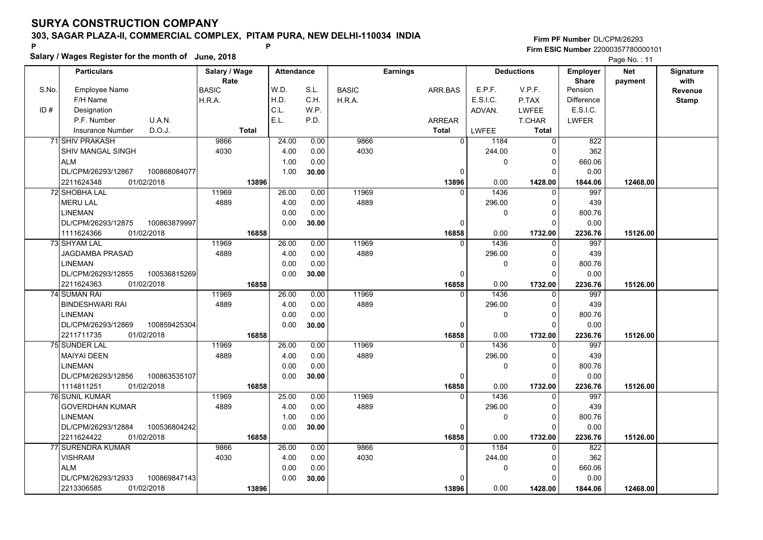**Salary / Wages Register for the month of June, 2018 <sup>P</sup> <sup>P</sup>**

|       | Salary / wages Register for the month of June, 2018 |               |                   |       |              |                 |                  |                   | Page No.: 11      |            |              |
|-------|-----------------------------------------------------|---------------|-------------------|-------|--------------|-----------------|------------------|-------------------|-------------------|------------|--------------|
|       | <b>Particulars</b>                                  | Salary / Wage | <b>Attendance</b> |       |              | <b>Earnings</b> |                  | <b>Deductions</b> | <b>Employer</b>   | <b>Net</b> | Signature    |
|       |                                                     | Rate          |                   |       |              |                 |                  |                   | <b>Share</b>      | payment    | with         |
| S.No. | <b>Employee Name</b>                                | <b>BASIC</b>  | W.D.              | S.L.  | <b>BASIC</b> | ARR.BAS         | E.P.F.           | V.P.F.            | Pension           |            | Revenue      |
|       | F/H Name                                            | H.R.A.        | H.D.              | C.H.  | H.R.A.       |                 | E.S.I.C.         | P.TAX             | <b>Difference</b> |            | <b>Stamp</b> |
| ID#   | Designation                                         |               | C.L.              | W.P.  |              |                 | ADVAN.           | <b>LWFEE</b>      | E.S.I.C.          |            |              |
|       | P.F. Number<br>U.A.N.                               |               | E.L.              | P.D.  |              | <b>ARREAR</b>   |                  | T.CHAR            | <b>LWFER</b>      |            |              |
|       | D.O.J.<br>Insurance Number                          | <b>Total</b>  |                   |       |              | <b>Total</b>    | <b>LWFEE</b>     | <b>Total</b>      |                   |            |              |
|       | 71 SHIV PRAKASH                                     | 9866          | 24.00             | 0.00  | 9866         |                 | $\Omega$<br>1184 | $\Omega$          | 822               |            |              |
|       | <b>SHIV MANGAL SINGH</b>                            | 4030          | 4.00              | 0.00  | 4030         |                 | 244.00           | $\Omega$          | 362               |            |              |
|       | <b>ALM</b>                                          |               | 1.00              | 0.00  |              |                 | 0                | 0                 | 660.06            |            |              |
|       | DL/CPM/26293/12867<br>100868084077                  |               | 1.00              | 30.00 |              |                 | 0                | $\Omega$          | 0.00              |            |              |
|       | 2211624348<br>01/02/2018                            | 13896         |                   |       |              | 13896           | 0.00             | 1428.00           | 1844.06           | 12468.00   |              |
|       | 72 SHOBHA LAL                                       | 11969         | 26.00             | 0.00  | 11969        |                 | 1436<br>$\Omega$ | $\Omega$          | 997               |            |              |
|       | <b>MERU LAL</b>                                     | 4889          | 4.00              | 0.00  | 4889         |                 | 296.00           | 0                 | 439               |            |              |
|       | <b>LINEMAN</b>                                      |               | 0.00              | 0.00  |              |                 | 0                | $\Omega$          | 800.76            |            |              |
|       | DL/CPM/26293/12875<br>100863879997                  |               | 0.00              | 30.00 |              |                 | $\Omega$         | 0                 | 0.00              |            |              |
|       | 1111624366<br>01/02/2018                            | 16858         |                   |       |              | 16858           | 0.00             | 1732.00           | 2236.76           | 15126.00   |              |
|       | 73 SHYAM LAL                                        | 11969         | 26.00             | 0.00  | 11969        |                 | 1436<br>$\Omega$ | 0                 | 997               |            |              |
|       | JAGDAMBA PRASAD                                     | 4889          | 4.00              | 0.00  | 4889         |                 | 296.00           | $\Omega$          | 439               |            |              |
|       | <b>LINEMAN</b>                                      |               | 0.00              | 0.00  |              |                 | $\mathbf 0$      | $\Omega$          | 800.76            |            |              |
|       | DL/CPM/26293/12855<br>100536815269                  |               | 0.00              | 30.00 |              |                 | 0                | $\Omega$          | 0.00              |            |              |
|       | 2211624363<br>01/02/2018                            | 16858         |                   |       |              | 16858           | 0.00             | 1732.00           | 2236.76           | 15126.00   |              |
|       | <b>74 SUMAN RAI</b>                                 | 11969         | 26.00             | 0.00  | 11969        |                 | 1436<br>$\Omega$ | $\Omega$          | 997               |            |              |
|       | <b>BINDESHWARI RAI</b>                              | 4889          | 4.00              | 0.00  | 4889         |                 | 296.00           | $\Omega$          | 439               |            |              |
|       | <b>LINEMAN</b>                                      |               | 0.00              | 0.00  |              |                 | $\mathbf 0$      | 0                 | 800.76            |            |              |
|       | DL/CPM/26293/12869<br>100859425304                  |               | 0.00              | 30.00 |              |                 | $\Omega$         | $\Omega$          | 0.00              |            |              |
|       | 2211711735<br>01/02/2018                            | 16858         |                   |       |              | 16858           | 0.00             | 1732.00           | 2236.76           | 15126.00   |              |
|       | <b>75 SUNDER LAL</b>                                | 11969         | 26.00             | 0.00  | 11969        |                 | 1436<br>$\Omega$ | 0                 | 997               |            |              |
|       | <b>MAIYAI DEEN</b>                                  | 4889          | 4.00              | 0.00  | 4889         |                 | 296.00           | 0                 | 439               |            |              |
|       | <b>LINEMAN</b>                                      |               | 0.00              | 0.00  |              |                 | 0                | $\Omega$          | 800.76            |            |              |
|       | DL/CPM/26293/12856<br>100863535107                  |               | 0.00              | 30.00 |              |                 | 0                | 0                 | 0.00              |            |              |
|       | 01/02/2018<br>1114811251                            | 16858         |                   |       |              | 16858           | 0.00             | 1732.00           | 2236.76           | 15126.00   |              |
|       | 76 SUNIL KUMAR                                      | 11969         | 25.00             | 0.00  | 11969        |                 | 1436<br>$\Omega$ | 0                 | 997               |            |              |
|       | <b>GOVERDHAN KUMAR</b>                              | 4889          | 4.00              | 0.00  | 4889         |                 | 296.00           | $\Omega$          | 439               |            |              |
|       | <b>LINEMAN</b>                                      |               | 1.00              | 0.00  |              |                 | $\mathbf 0$      | $\Omega$          | 800.76            |            |              |
|       | DL/CPM/26293/12884<br>100536804242                  |               | 0.00              | 30.00 |              |                 | $\Omega$         | $\Omega$          | 0.00              |            |              |
|       | 2211624422<br>01/02/2018                            | 16858         |                   |       |              | 16858           | 0.00             | 1732.00           | 2236.76           | 15126.00   |              |
|       | 77 SURENDRA KUMAR                                   | 9866          | 26.00             | 0.00  | 9866         |                 | 1184<br>$\Omega$ | $\Omega$          | 822               |            |              |
|       | <b>VISHRAM</b>                                      | 4030          | 4.00              | 0.00  | 4030         |                 | 244.00           | $\Omega$          | 362               |            |              |
|       | <b>ALM</b>                                          |               | 0.00              | 0.00  |              |                 | $\mathbf 0$      | $\Omega$          | 660.06            |            |              |
|       | DL/CPM/26293/12933<br>100869847143                  |               | 0.00              | 30.00 |              |                 |                  | O                 | 0.00              |            |              |
|       | 01/02/2018<br>2213306585                            | 13896         |                   |       |              | 13896           | 0.00             | 1428.00           | 1844.06           | 12468.00   |              |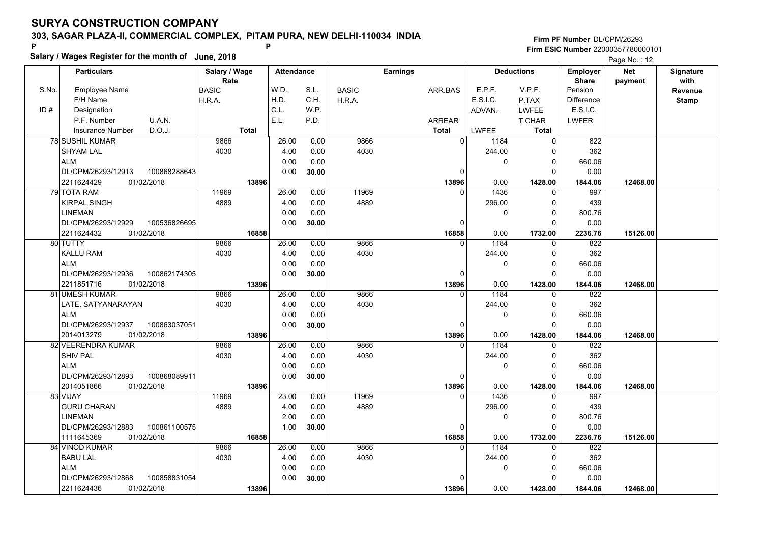**Salary / Wages Register for the month of June, 2018 <sup>P</sup> <sup>P</sup>**

|       | Salary / Wages Register for the month of June, 2018 |               |                   |       |              |                 |              | Page No.: 12      |                 |            |              |
|-------|-----------------------------------------------------|---------------|-------------------|-------|--------------|-----------------|--------------|-------------------|-----------------|------------|--------------|
|       | <b>Particulars</b>                                  | Salary / Wage | <b>Attendance</b> |       |              | <b>Earnings</b> |              | <b>Deductions</b> | <b>Employer</b> | <b>Net</b> | Signature    |
|       |                                                     | Rate          |                   |       |              |                 |              |                   | <b>Share</b>    | payment    | with         |
| S.No. | <b>Employee Name</b>                                | <b>BASIC</b>  | W.D.              | S.L.  | <b>BASIC</b> | ARR.BAS         | E.P.F.       | V.P.F.            | Pension         |            | Revenue      |
|       | F/H Name                                            | H.R.A.        | H.D.              | C.H.  | H.R.A.       |                 | E.S.I.C.     | P.TAX             | Difference      |            | <b>Stamp</b> |
| ID#   | Designation                                         |               | C.L.              | W.P.  |              |                 | ADVAN.       | LWFEE             | E.S.I.C.        |            |              |
|       | P.F. Number<br>U.A.N.                               |               | E.L.              | P.D.  |              | ARREAR          |              | T.CHAR            | <b>LWFER</b>    |            |              |
|       | D.O.J.<br><b>Insurance Number</b>                   | <b>Total</b>  |                   |       |              | <b>Total</b>    | <b>LWFEE</b> | <b>Total</b>      |                 |            |              |
|       | 78 SUSHIL KUMAR                                     | 9866          | 26.00             | 0.00  | 9866         | $\overline{0}$  | 1184         | 0                 | 822             |            |              |
|       | <b>SHYAM LAL</b>                                    | 4030          | 4.00              | 0.00  | 4030         |                 | 244.00       |                   | 362             |            |              |
|       | <b>ALM</b>                                          |               | 0.00              | 0.00  |              |                 | 0            | 0                 | 660.06          |            |              |
|       | DL/CPM/26293/12913<br>100868288643                  |               | 0.00              | 30.00 |              | $\Omega$        |              | $\Omega$          | 0.00            |            |              |
|       | 2211624429<br>01/02/2018                            | 13896         |                   |       |              | 13896           | 0.00         | 1428.00           | 1844.06         | 12468.00   |              |
|       | 79 TOTA RAM                                         | 11969         | 26.00             | 0.00  | 11969        | $\Omega$        | 1436         | O                 | 997             |            |              |
|       | <b>KIRPAL SINGH</b>                                 | 4889          | 4.00              | 0.00  | 4889         |                 | 296.00       | $\Omega$          | 439             |            |              |
|       | <b>LINEMAN</b>                                      |               | 0.00              | 0.00  |              |                 | 0            | $\Omega$          | 800.76          |            |              |
|       | DL/CPM/26293/12929<br>100536826695                  |               | 0.00              | 30.00 |              | 0               |              | $\Omega$          | 0.00            |            |              |
|       | 2211624432<br>01/02/2018                            | 16858         |                   |       |              | 16858           | 0.00         | 1732.00           | 2236.76         | 15126.00   |              |
|       | 80 TUTTY                                            | 9866          | 26.00             | 0.00  | 9866         | $\Omega$        | 1184         | $\Omega$          | 822             |            |              |
|       | <b>KALLU RAM</b>                                    | 4030          | 4.00              | 0.00  | 4030         |                 | 244.00       | $\Omega$          | 362             |            |              |
|       | <b>ALM</b>                                          |               | 0.00              | 0.00  |              |                 | 0            | $\Omega$          | 660.06          |            |              |
|       | DL/CPM/26293/12936<br>100862174305                  |               | 0.00              | 30.00 |              | $\Omega$        |              | $\Omega$          | 0.00            |            |              |
|       | 2211851716<br>01/02/2018                            | 13896         |                   |       |              | 13896           | 0.00         | 1428.00           | 1844.06         | 12468.00   |              |
|       | 81 UMESH KUMAR                                      | 9866          | 26.00             | 0.00  | 9866         | $\Omega$        | 1184         | O                 | 822             |            |              |
|       | LATE. SATYANARAYAN                                  | 4030          | 4.00              | 0.00  | 4030         |                 | 244.00       | $\Omega$          | 362             |            |              |
|       | <b>ALM</b>                                          |               | 0.00              | 0.00  |              |                 | 0            | $\Omega$          | 660.06          |            |              |
|       | DL/CPM/26293/12937<br>100863037051                  |               | 0.00              | 30.00 |              | 0               |              | $\Omega$          | 0.00            |            |              |
|       | 01/02/2018<br>2014013279                            | 13896         |                   |       |              | 13896           | 0.00         | 1428.00           | 1844.06         | 12468.00   |              |
|       | 82 VEERENDRA KUMAR                                  | 9866          | 26.00             | 0.00  | 9866         |                 | 1184         | O                 | 822             |            |              |
|       | <b>SHIV PAL</b>                                     | 4030          | 4.00              | 0.00  | 4030         |                 | 244.00       | 0                 | 362             |            |              |
|       | <b>ALM</b>                                          |               | 0.00              | 0.00  |              |                 | 0            | $\Omega$          | 660.06          |            |              |
|       | DL/CPM/26293/12893<br>100868089911                  |               | 0.00              | 30.00 |              | $\Omega$        |              | O                 | 0.00            |            |              |
|       | 2014051866<br>01/02/2018                            | 13896         |                   |       |              | 13896           | 0.00         | 1428.00           | 1844.06         | 12468.00   |              |
|       | 83 VIJAY                                            | 11969         | 23.00             | 0.00  | 11969        | $\Omega$        | 1436         | 0                 | 997             |            |              |
|       | <b>GURU CHARAN</b>                                  | 4889          | 4.00              | 0.00  | 4889         |                 | 296.00       | $\Omega$          | 439             |            |              |
|       | <b>LINEMAN</b>                                      |               | 2.00              | 0.00  |              |                 | 0            | $\Omega$          | 800.76          |            |              |
|       | DL/CPM/26293/12883<br>100861100575                  |               | 1.00              | 30.00 |              | $\Omega$        |              | $\Omega$          | 0.00            |            |              |
|       | 1111645369<br>01/02/2018                            | 16858         |                   |       |              | 16858           | 0.00         | 1732.00           | 2236.76         | 15126.00   |              |
|       | 84 VINOD KUMAR                                      | 9866          | 26.00             | 0.00  | 9866         | $\Omega$        | 1184         | O                 | 822             |            |              |
|       | <b>BABU LAL</b>                                     | 4030          | 4.00              | 0.00  | 4030         |                 | 244.00       | $\Omega$          | 362             |            |              |
|       | <b>ALM</b>                                          |               | 0.00              | 0.00  |              |                 | 0            | 0                 | 660.06          |            |              |
|       | DL/CPM/26293/12868<br>100858831054                  |               | 0.00              | 30.00 |              | O               |              |                   | 0.00            |            |              |
|       | 2211624436<br>01/02/2018                            | 13896         |                   |       |              | 13896           | 0.00         | 1428.00           | 1844.06         | 12468.00   |              |